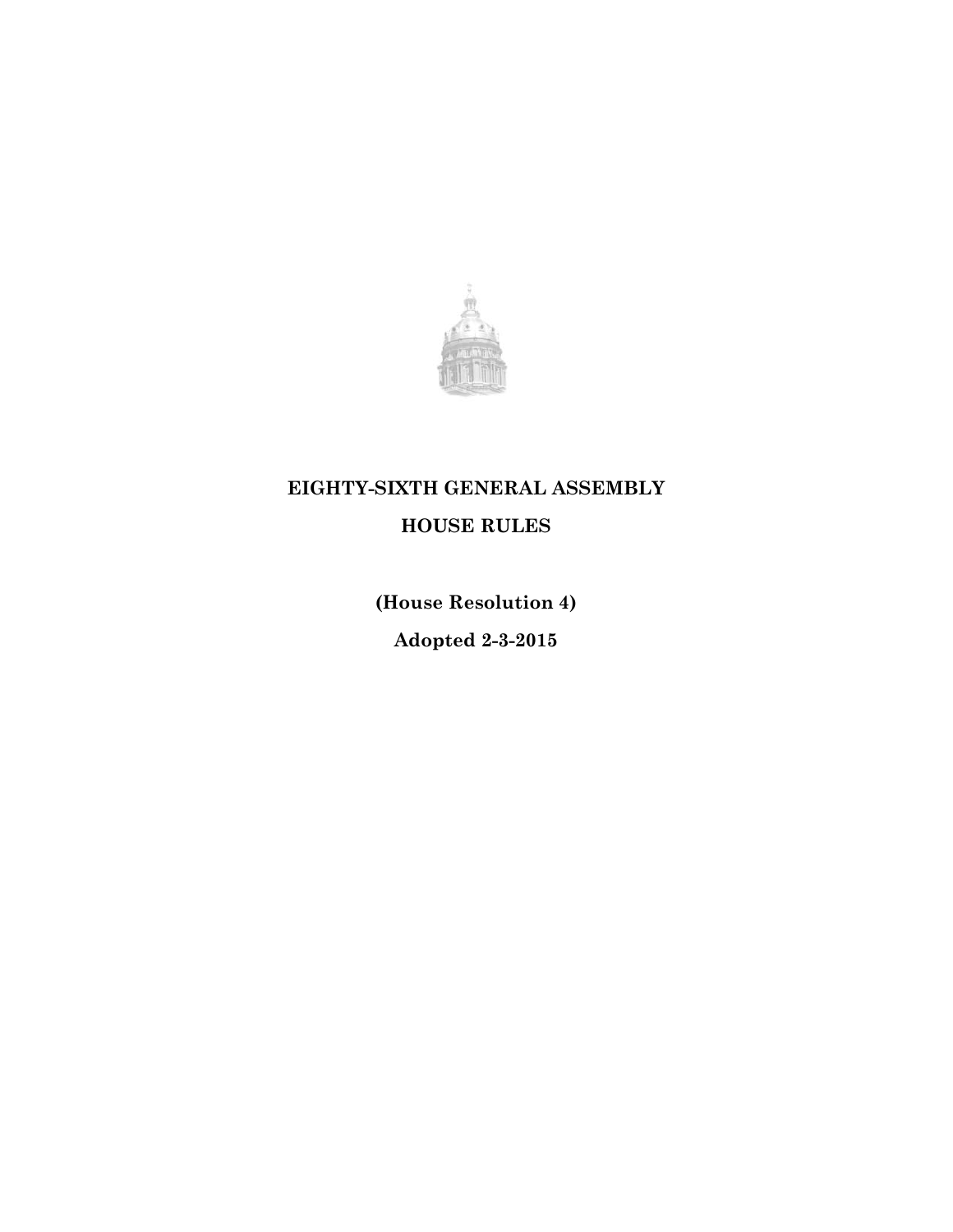

# **EIGHTY-SIXTH GENERAL ASSEMBLY**

# **HOUSE RULES**

**(House Resolution 4)**

**Adopted 2-3-2015**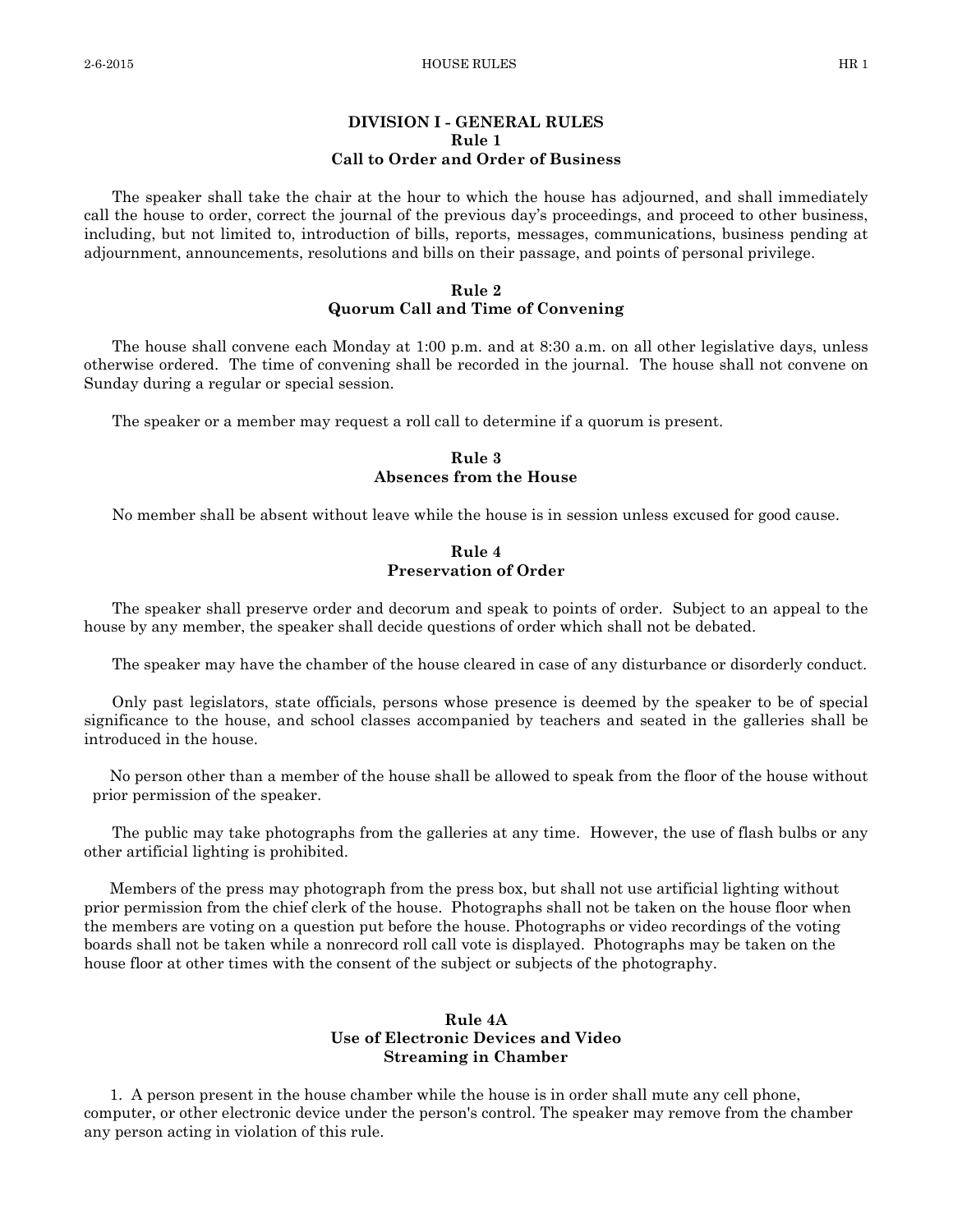# **DIVISION I - GENERAL RULES Rule 1 Call to Order and Order of Business**

The speaker shall take the chair at the hour to which the house has adjourned, and shall immediately call the house to order, correct the journal of the previous day's proceedings, and proceed to other business, including, but not limited to, introduction of bills, reports, messages, communications, business pending at adjournment, announcements, resolutions and bills on their passage, and points of personal privilege.

# **Rule 2 Quorum Call and Time of Convening**

The house shall convene each Monday at 1:00 p.m. and at 8:30 a.m. on all other legislative days, unless otherwise ordered. The time of convening shall be recorded in the journal. The house shall not convene on Sunday during a regular or special session.

The speaker or a member may request a roll call to determine if a quorum is present.

#### **Rule 3 Absences from the House**

No member shall be absent without leave while the house is in session unless excused for good cause.

#### **Rule 4 Preservation of Order**

The speaker shall preserve order and decorum and speak to points of order. Subject to an appeal to the house by any member, the speaker shall decide questions of order which shall not be debated.

The speaker may have the chamber of the house cleared in case of any disturbance or disorderly conduct.

Only past legislators, state officials, persons whose presence is deemed by the speaker to be of special significance to the house, and school classes accompanied by teachers and seated in the galleries shall be introduced in the house.

 No person other than a member of the house shall be allowed to speak from the floor of the house without prior permission of the speaker.

The public may take photographs from the galleries at any time. However, the use of flash bulbs or any other artificial lighting is prohibited.

 Members of the press may photograph from the press box, but shall not use artificial lighting without prior permission from the chief clerk of the house. Photographs shall not be taken on the house floor when the members are voting on a question put before the house. Photographs or video recordings of the voting boards shall not be taken while a nonrecord roll call vote is displayed. Photographs may be taken on the house floor at other times with the consent of the subject or subjects of the photography.

# **Rule 4A Use of Electronic Devices and Video Streaming in Chamber**

 1. A person present in the house chamber while the house is in order shall mute any cell phone, computer, or other electronic device under the person's control. The speaker may remove from the chamber any person acting in violation of this rule.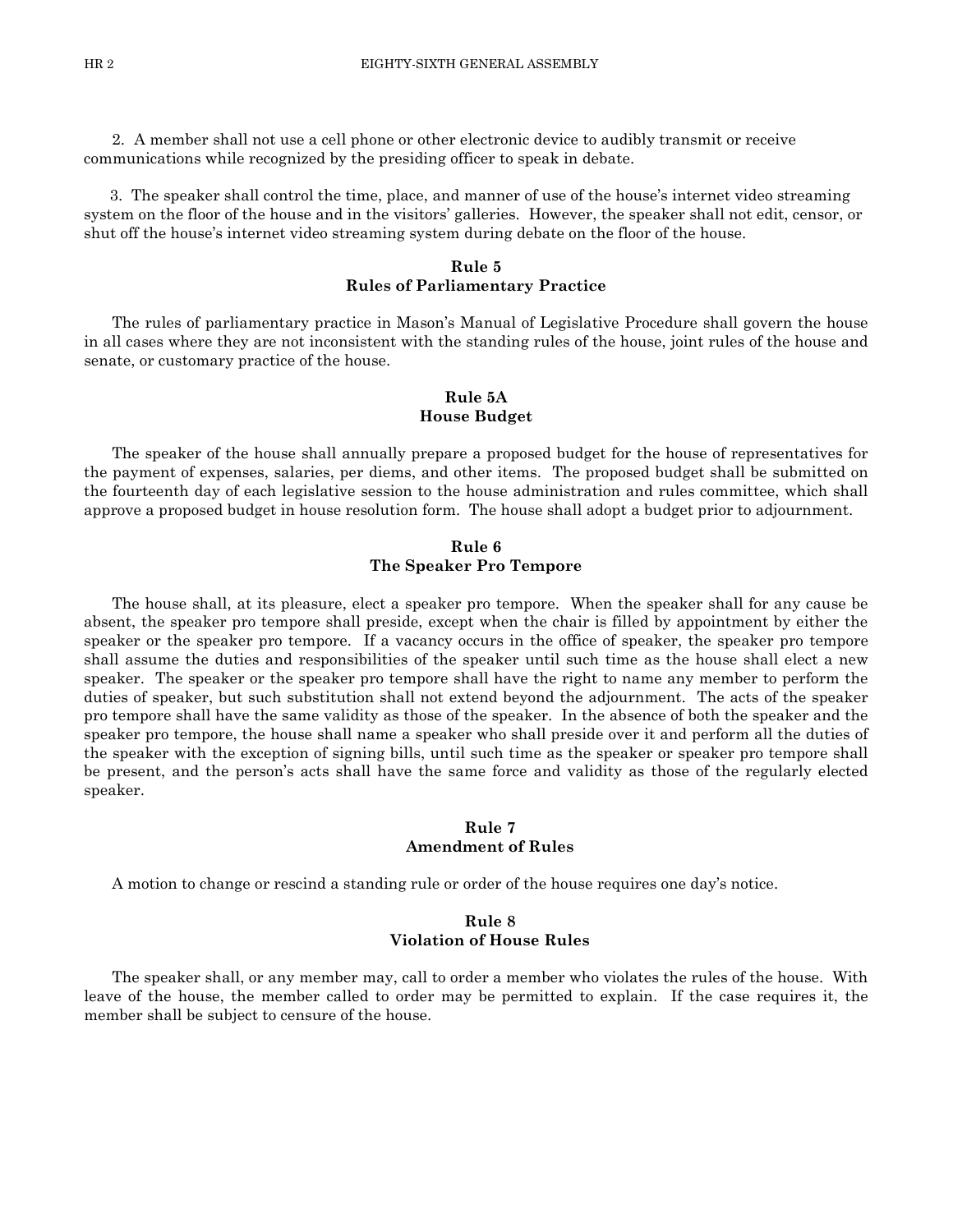2. A member shall not use a cell phone or other electronic device to audibly transmit or receive communications while recognized by the presiding officer to speak in debate.

 3. The speaker shall control the time, place, and manner of use of the house's internet video streaming system on the floor of the house and in the visitors' galleries. However, the speaker shall not edit, censor, or shut off the house's internet video streaming system during debate on the floor of the house.

# **Rule 5 Rules of Parliamentary Practice**

The rules of parliamentary practice in Mason's Manual of Legislative Procedure shall govern the house in all cases where they are not inconsistent with the standing rules of the house, joint rules of the house and senate, or customary practice of the house.

# **Rule 5A House Budget**

The speaker of the house shall annually prepare a proposed budget for the house of representatives for the payment of expenses, salaries, per diems, and other items. The proposed budget shall be submitted on the fourteenth day of each legislative session to the house administration and rules committee, which shall approve a proposed budget in house resolution form. The house shall adopt a budget prior to adjournment.

# **Rule 6 The Speaker Pro Tempore**

The house shall, at its pleasure, elect a speaker pro tempore. When the speaker shall for any cause be absent, the speaker pro tempore shall preside, except when the chair is filled by appointment by either the speaker or the speaker pro tempore. If a vacancy occurs in the office of speaker, the speaker pro tempore shall assume the duties and responsibilities of the speaker until such time as the house shall elect a new speaker. The speaker or the speaker pro tempore shall have the right to name any member to perform the duties of speaker, but such substitution shall not extend beyond the adjournment. The acts of the speaker pro tempore shall have the same validity as those of the speaker. In the absence of both the speaker and the speaker pro tempore, the house shall name a speaker who shall preside over it and perform all the duties of the speaker with the exception of signing bills, until such time as the speaker or speaker pro tempore shall be present, and the person's acts shall have the same force and validity as those of the regularly elected speaker.

#### **Rule 7 Amendment of Rules**

A motion to change or rescind a standing rule or order of the house requires one day's notice.

# **Rule 8 Violation of House Rules**

The speaker shall, or any member may, call to order a member who violates the rules of the house. With leave of the house, the member called to order may be permitted to explain. If the case requires it, the member shall be subject to censure of the house.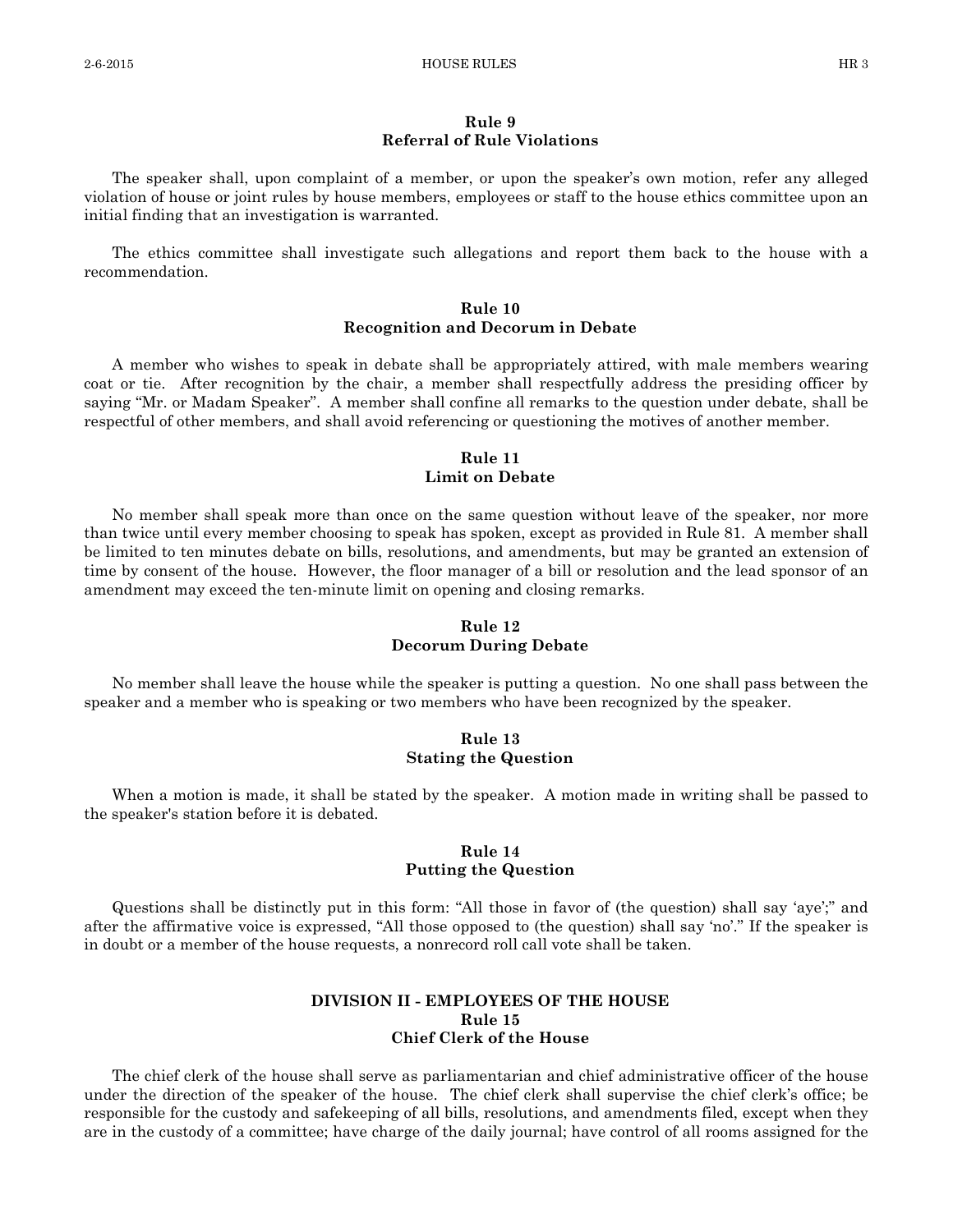#### **Rule 9 Referral of Rule Violations**

The speaker shall, upon complaint of a member, or upon the speaker's own motion, refer any alleged violation of house or joint rules by house members, employees or staff to the house ethics committee upon an initial finding that an investigation is warranted.

The ethics committee shall investigate such allegations and report them back to the house with a recommendation.

### **Rule 10 Recognition and Decorum in Debate**

A member who wishes to speak in debate shall be appropriately attired, with male members wearing coat or tie. After recognition by the chair, a member shall respectfully address the presiding officer by saying "Mr. or Madam Speaker". A member shall confine all remarks to the question under debate, shall be respectful of other members, and shall avoid referencing or questioning the motives of another member.

#### **Rule 11 Limit on Debate**

No member shall speak more than once on the same question without leave of the speaker, nor more than twice until every member choosing to speak has spoken, except as provided in Rule 81. A member shall be limited to ten minutes debate on bills, resolutions, and amendments, but may be granted an extension of time by consent of the house. However, the floor manager of a bill or resolution and the lead sponsor of an amendment may exceed the ten-minute limit on opening and closing remarks.

# **Rule 12 Decorum During Debate**

No member shall leave the house while the speaker is putting a question. No one shall pass between the speaker and a member who is speaking or two members who have been recognized by the speaker.

#### **Rule 13 Stating the Question**

When a motion is made, it shall be stated by the speaker. A motion made in writing shall be passed to the speaker's station before it is debated.

# **Rule 14 Putting the Question**

Questions shall be distinctly put in this form: "All those in favor of (the question) shall say 'aye';" and after the affirmative voice is expressed, "All those opposed to (the question) shall say 'no'." If the speaker is in doubt or a member of the house requests, a nonrecord roll call vote shall be taken.

# **DIVISION II - EMPLOYEES OF THE HOUSE Rule 15 Chief Clerk of the House**

The chief clerk of the house shall serve as parliamentarian and chief administrative officer of the house under the direction of the speaker of the house. The chief clerk shall supervise the chief clerk's office; be responsible for the custody and safekeeping of all bills, resolutions, and amendments filed, except when they are in the custody of a committee; have charge of the daily journal; have control of all rooms assigned for the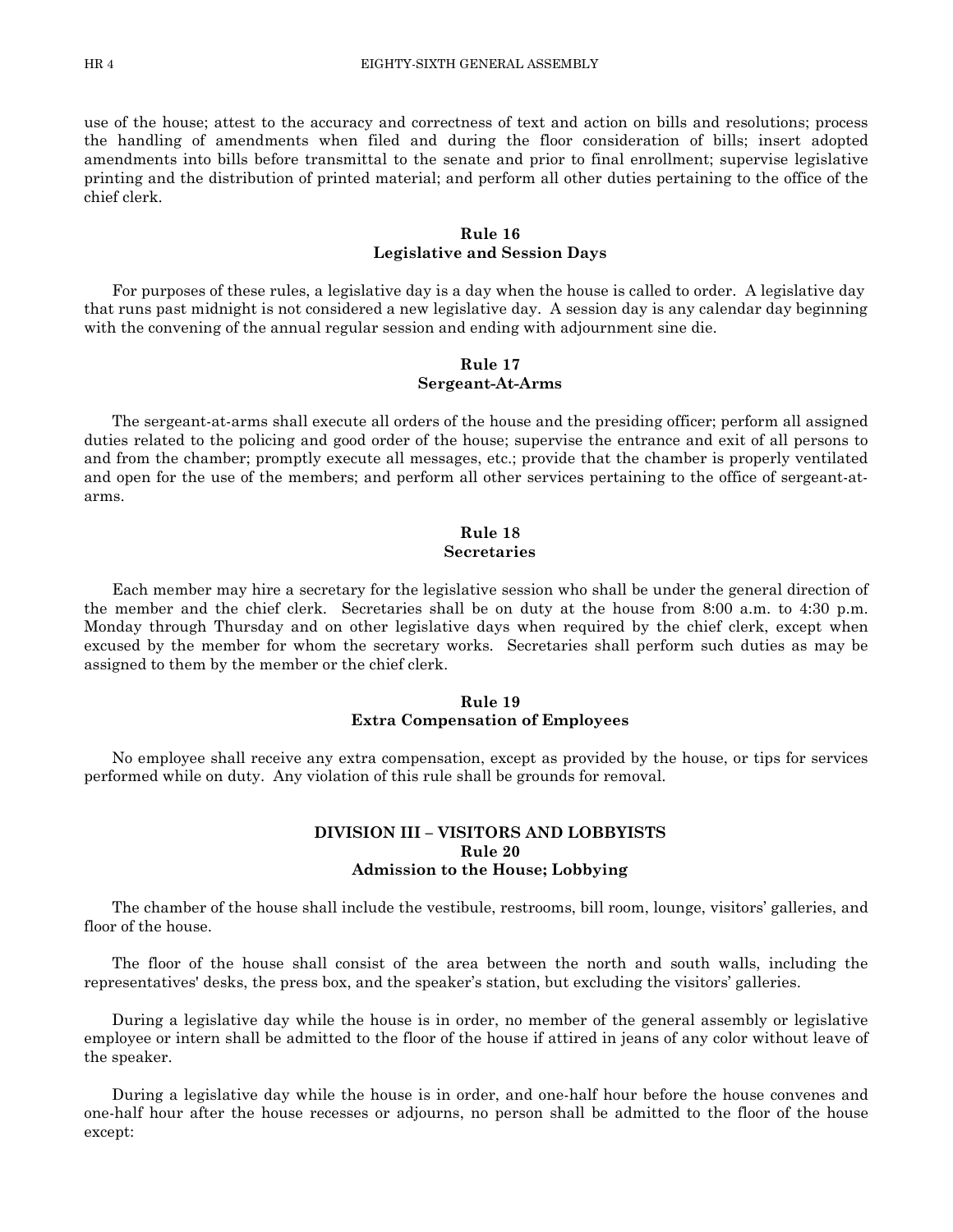use of the house; attest to the accuracy and correctness of text and action on bills and resolutions; process the handling of amendments when filed and during the floor consideration of bills; insert adopted amendments into bills before transmittal to the senate and prior to final enrollment; supervise legislative printing and the distribution of printed material; and perform all other duties pertaining to the office of the chief clerk.

#### **Rule 16 Legislative and Session Days**

For purposes of these rules, a legislative day is a day when the house is called to order. A legislative day that runs past midnight is not considered a new legislative day. A session day is any calendar day beginning with the convening of the annual regular session and ending with adjournment sine die.

# **Rule 17 Sergeant-At-Arms**

The sergeant-at-arms shall execute all orders of the house and the presiding officer; perform all assigned duties related to the policing and good order of the house; supervise the entrance and exit of all persons to and from the chamber; promptly execute all messages, etc.; provide that the chamber is properly ventilated and open for the use of the members; and perform all other services pertaining to the office of sergeant-atarms.

#### **Rule 18 Secretaries**

Each member may hire a secretary for the legislative session who shall be under the general direction of the member and the chief clerk. Secretaries shall be on duty at the house from 8:00 a.m. to 4:30 p.m. Monday through Thursday and on other legislative days when required by the chief clerk, except when excused by the member for whom the secretary works. Secretaries shall perform such duties as may be assigned to them by the member or the chief clerk.

### **Rule 19 Extra Compensation of Employees**

No employee shall receive any extra compensation, except as provided by the house, or tips for services performed while on duty. Any violation of this rule shall be grounds for removal.

# **DIVISION III – VISITORS AND LOBBYISTS Rule 20 Admission to the House; Lobbying**

The chamber of the house shall include the vestibule, restrooms, bill room, lounge, visitors' galleries, and floor of the house.

The floor of the house shall consist of the area between the north and south walls, including the representatives' desks, the press box, and the speaker's station, but excluding the visitors' galleries.

During a legislative day while the house is in order, no member of the general assembly or legislative employee or intern shall be admitted to the floor of the house if attired in jeans of any color without leave of the speaker.

During a legislative day while the house is in order, and one-half hour before the house convenes and one-half hour after the house recesses or adjourns, no person shall be admitted to the floor of the house except: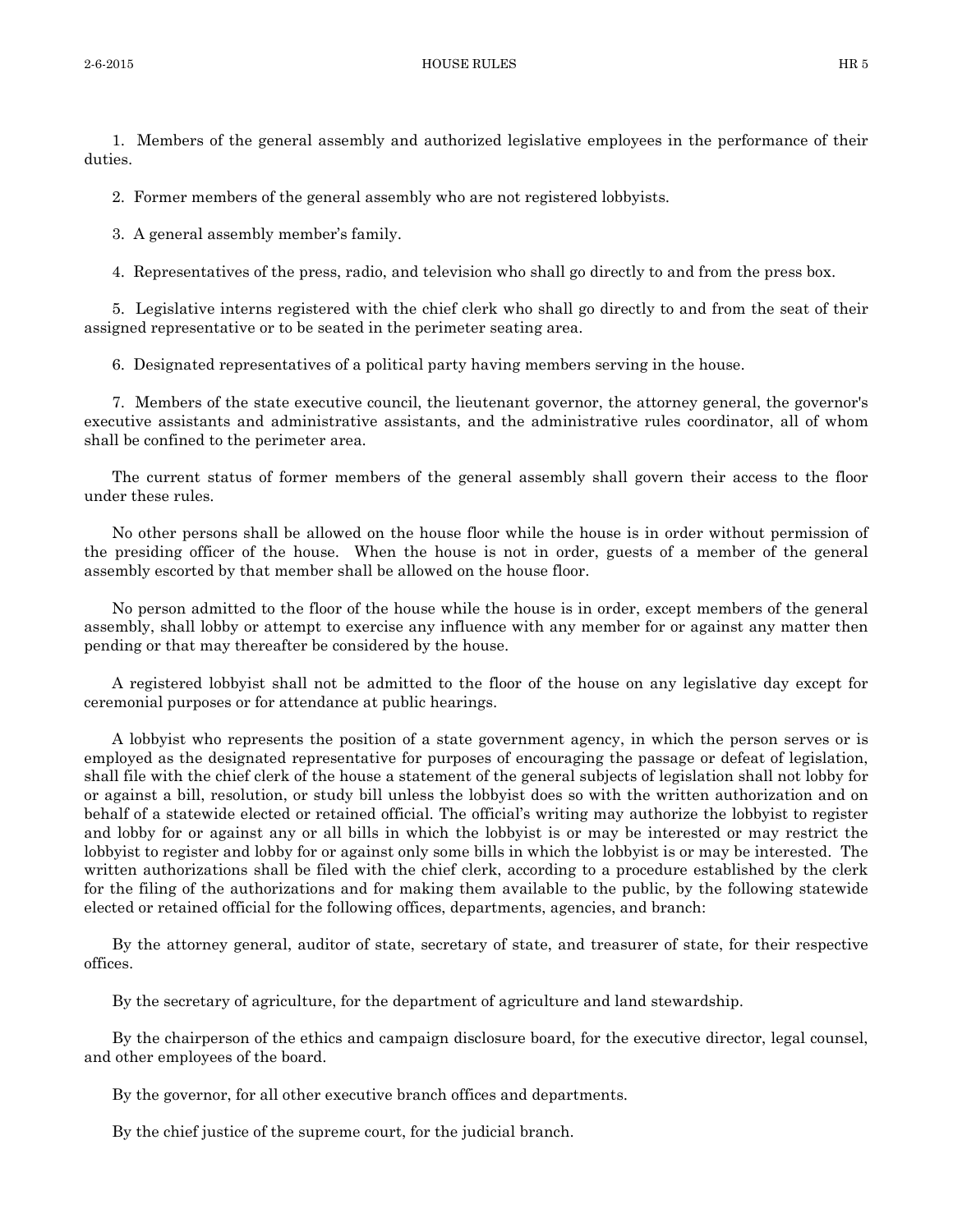1. Members of the general assembly and authorized legislative employees in the performance of their duties.

2. Former members of the general assembly who are not registered lobbyists.

3. A general assembly member's family.

4. Representatives of the press, radio, and television who shall go directly to and from the press box.

5. Legislative interns registered with the chief clerk who shall go directly to and from the seat of their assigned representative or to be seated in the perimeter seating area.

6. Designated representatives of a political party having members serving in the house.

7. Members of the state executive council, the lieutenant governor, the attorney general, the governor's executive assistants and administrative assistants, and the administrative rules coordinator, all of whom shall be confined to the perimeter area.

The current status of former members of the general assembly shall govern their access to the floor under these rules.

No other persons shall be allowed on the house floor while the house is in order without permission of the presiding officer of the house. When the house is not in order, guests of a member of the general assembly escorted by that member shall be allowed on the house floor.

No person admitted to the floor of the house while the house is in order, except members of the general assembly, shall lobby or attempt to exercise any influence with any member for or against any matter then pending or that may thereafter be considered by the house.

A registered lobbyist shall not be admitted to the floor of the house on any legislative day except for ceremonial purposes or for attendance at public hearings.

A lobbyist who represents the position of a state government agency, in which the person serves or is employed as the designated representative for purposes of encouraging the passage or defeat of legislation, shall file with the chief clerk of the house a statement of the general subjects of legislation shall not lobby for or against a bill, resolution, or study bill unless the lobbyist does so with the written authorization and on behalf of a statewide elected or retained official. The official's writing may authorize the lobbyist to register and lobby for or against any or all bills in which the lobbyist is or may be interested or may restrict the lobbyist to register and lobby for or against only some bills in which the lobbyist is or may be interested. The written authorizations shall be filed with the chief clerk, according to a procedure established by the clerk for the filing of the authorizations and for making them available to the public, by the following statewide elected or retained official for the following offices, departments, agencies, and branch:

By the attorney general, auditor of state, secretary of state, and treasurer of state, for their respective offices.

By the secretary of agriculture, for the department of agriculture and land stewardship.

By the chairperson of the ethics and campaign disclosure board, for the executive director, legal counsel, and other employees of the board.

By the governor, for all other executive branch offices and departments.

By the chief justice of the supreme court, for the judicial branch.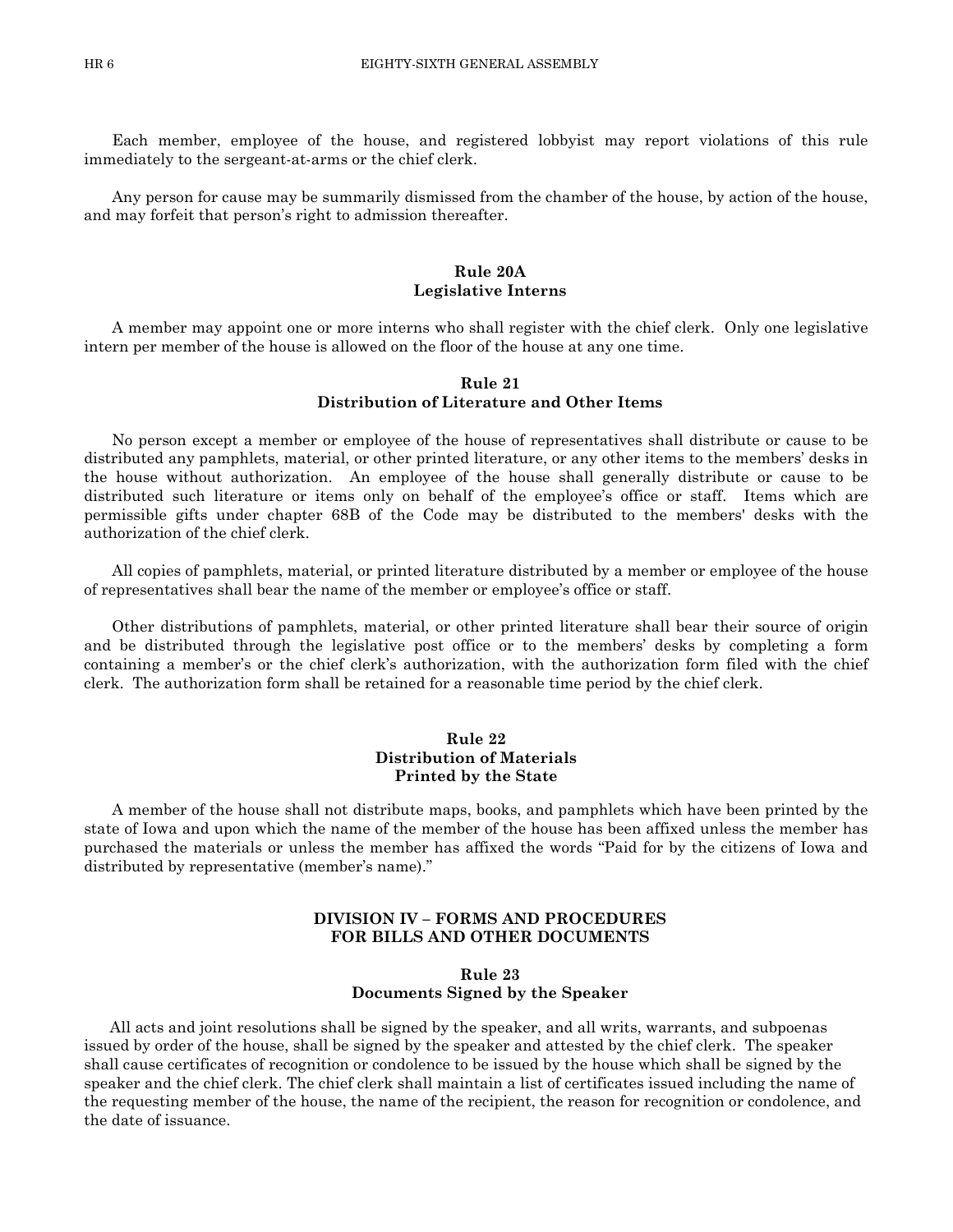Each member, employee of the house, and registered lobbyist may report violations of this rule immediately to the sergeant-at-arms or the chief clerk.

Any person for cause may be summarily dismissed from the chamber of the house, by action of the house, and may forfeit that person's right to admission thereafter.

#### **Rule 20A Legislative Interns**

A member may appoint one or more interns who shall register with the chief clerk. Only one legislative intern per member of the house is allowed on the floor of the house at any one time.

# **Rule 21 Distribution of Literature and Other Items**

No person except a member or employee of the house of representatives shall distribute or cause to be distributed any pamphlets, material, or other printed literature, or any other items to the members' desks in the house without authorization. An employee of the house shall generally distribute or cause to be distributed such literature or items only on behalf of the employee's office or staff. Items which are permissible gifts under chapter 68B of the Code may be distributed to the members' desks with the authorization of the chief clerk.

All copies of pamphlets, material, or printed literature distributed by a member or employee of the house of representatives shall bear the name of the member or employee's office or staff.

Other distributions of pamphlets, material, or other printed literature shall bear their source of origin and be distributed through the legislative post office or to the members' desks by completing a form containing a member's or the chief clerk's authorization, with the authorization form filed with the chief clerk. The authorization form shall be retained for a reasonable time period by the chief clerk.

#### **Rule 22 Distribution of Materials Printed by the State**

A member of the house shall not distribute maps, books, and pamphlets which have been printed by the state of Iowa and upon which the name of the member of the house has been affixed unless the member has purchased the materials or unless the member has affixed the words "Paid for by the citizens of Iowa and distributed by representative (member's name)."

# **DIVISION IV – FORMS AND PROCEDURES FOR BILLS AND OTHER DOCUMENTS**

#### **Rule 23 Documents Signed by the Speaker**

 All acts and joint resolutions shall be signed by the speaker, and all writs, warrants, and subpoenas issued by order of the house, shall be signed by the speaker and attested by the chief clerk. The speaker shall cause certificates of recognition or condolence to be issued by the house which shall be signed by the speaker and the chief clerk. The chief clerk shall maintain a list of certificates issued including the name of the requesting member of the house, the name of the recipient, the reason for recognition or condolence, and the date of issuance.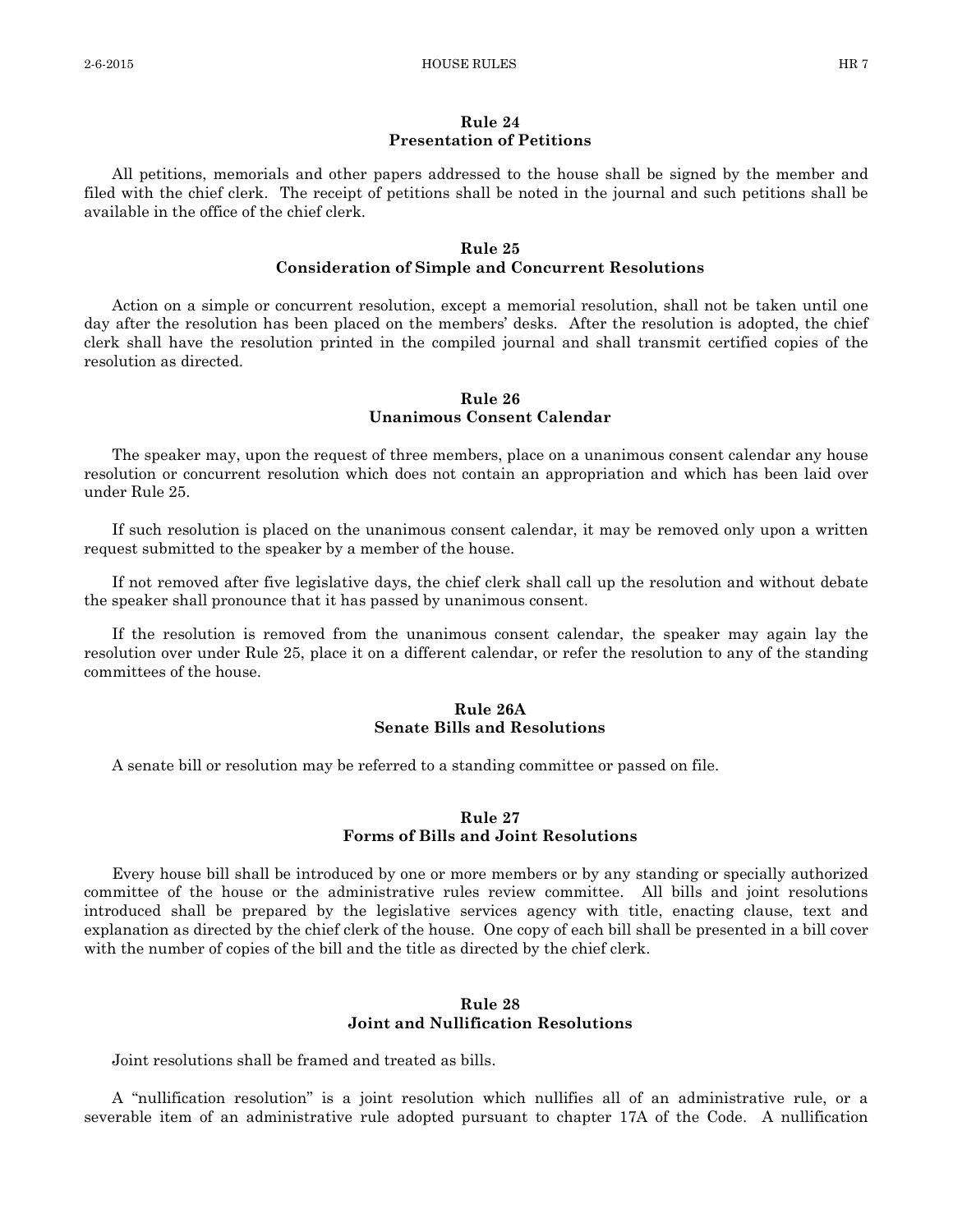# **Rule 24 Presentation of Petitions**

All petitions, memorials and other papers addressed to the house shall be signed by the member and filed with the chief clerk. The receipt of petitions shall be noted in the journal and such petitions shall be available in the office of the chief clerk.

# **Rule 25 Consideration of Simple and Concurrent Resolutions**

Action on a simple or concurrent resolution, except a memorial resolution, shall not be taken until one day after the resolution has been placed on the members' desks. After the resolution is adopted, the chief clerk shall have the resolution printed in the compiled journal and shall transmit certified copies of the resolution as directed.

#### **Rule 26 Unanimous Consent Calendar**

The speaker may, upon the request of three members, place on a unanimous consent calendar any house resolution or concurrent resolution which does not contain an appropriation and which has been laid over under Rule 25.

If such resolution is placed on the unanimous consent calendar, it may be removed only upon a written request submitted to the speaker by a member of the house.

If not removed after five legislative days, the chief clerk shall call up the resolution and without debate the speaker shall pronounce that it has passed by unanimous consent.

If the resolution is removed from the unanimous consent calendar, the speaker may again lay the resolution over under Rule 25, place it on a different calendar, or refer the resolution to any of the standing committees of the house.

# **Rule 26A Senate Bills and Resolutions**

A senate bill or resolution may be referred to a standing committee or passed on file.

# **Rule 27 Forms of Bills and Joint Resolutions**

Every house bill shall be introduced by one or more members or by any standing or specially authorized committee of the house or the administrative rules review committee. All bills and joint resolutions introduced shall be prepared by the legislative services agency with title, enacting clause, text and explanation as directed by the chief clerk of the house. One copy of each bill shall be presented in a bill cover with the number of copies of the bill and the title as directed by the chief clerk.

#### **Rule 28 Joint and Nullification Resolutions**

Joint resolutions shall be framed and treated as bills.

A "nullification resolution" is a joint resolution which nullifies all of an administrative rule, or a severable item of an administrative rule adopted pursuant to chapter 17A of the Code. A nullification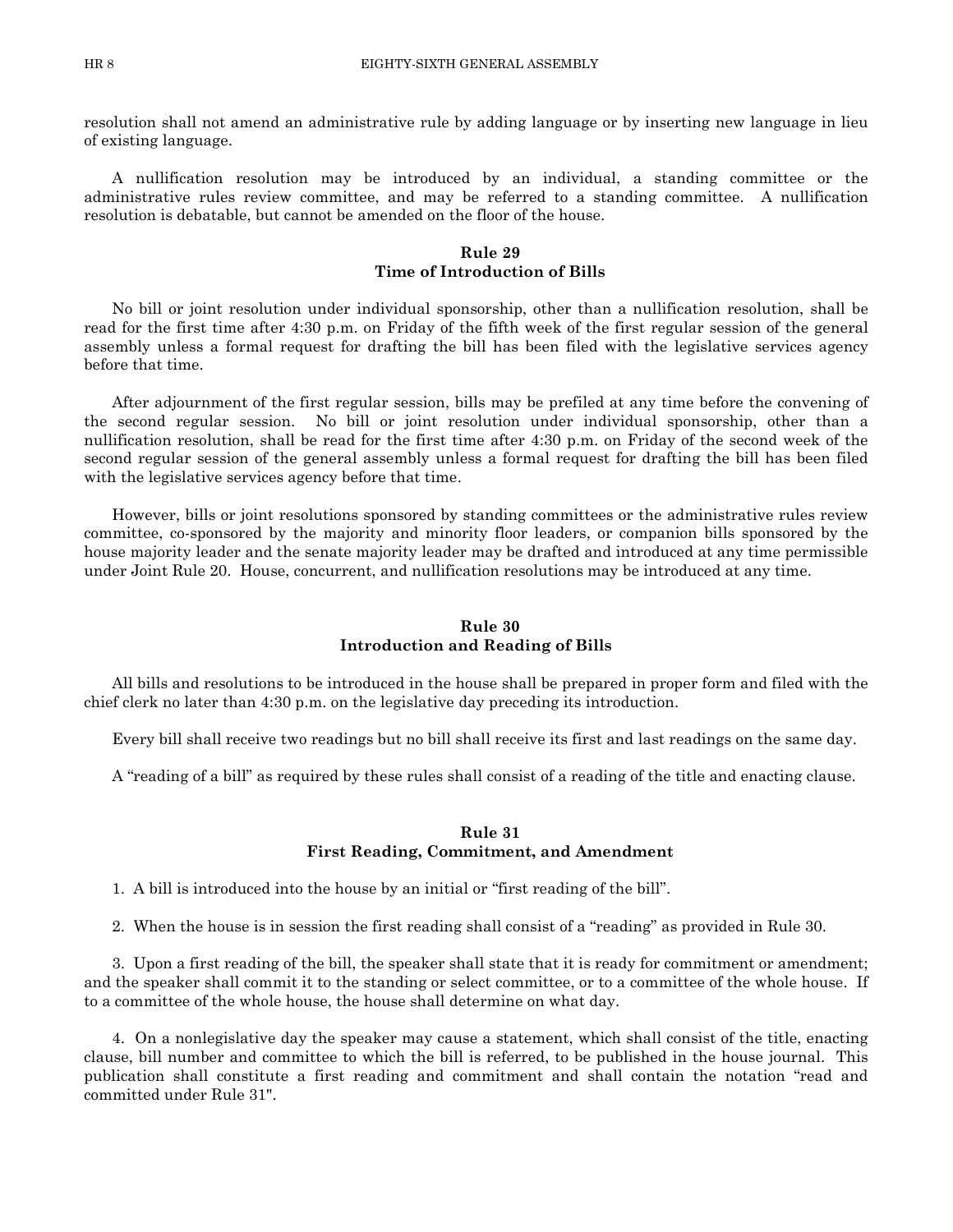resolution shall not amend an administrative rule by adding language or by inserting new language in lieu of existing language.

A nullification resolution may be introduced by an individual, a standing committee or the administrative rules review committee, and may be referred to a standing committee. A nullification resolution is debatable, but cannot be amended on the floor of the house.

# **Rule 29 Time of Introduction of Bills**

No bill or joint resolution under individual sponsorship, other than a nullification resolution, shall be read for the first time after 4:30 p.m. on Friday of the fifth week of the first regular session of the general assembly unless a formal request for drafting the bill has been filed with the legislative services agency before that time.

After adjournment of the first regular session, bills may be prefiled at any time before the convening of the second regular session. No bill or joint resolution under individual sponsorship, other than a nullification resolution, shall be read for the first time after 4:30 p.m. on Friday of the second week of the second regular session of the general assembly unless a formal request for drafting the bill has been filed with the legislative services agency before that time.

However, bills or joint resolutions sponsored by standing committees or the administrative rules review committee, co-sponsored by the majority and minority floor leaders, or companion bills sponsored by the house majority leader and the senate majority leader may be drafted and introduced at any time permissible under Joint Rule 20. House, concurrent, and nullification resolutions may be introduced at any time.

# **Rule 30 Introduction and Reading of Bills**

All bills and resolutions to be introduced in the house shall be prepared in proper form and filed with the chief clerk no later than 4:30 p.m. on the legislative day preceding its introduction.

Every bill shall receive two readings but no bill shall receive its first and last readings on the same day.

A "reading of a bill" as required by these rules shall consist of a reading of the title and enacting clause.

#### **Rule 31 First Reading, Commitment, and Amendment**

1. A bill is introduced into the house by an initial or "first reading of the bill".

2. When the house is in session the first reading shall consist of a "reading" as provided in Rule 30.

3. Upon a first reading of the bill, the speaker shall state that it is ready for commitment or amendment; and the speaker shall commit it to the standing or select committee, or to a committee of the whole house. If to a committee of the whole house, the house shall determine on what day.

4. On a nonlegislative day the speaker may cause a statement, which shall consist of the title, enacting clause, bill number and committee to which the bill is referred, to be published in the house journal. This publication shall constitute a first reading and commitment and shall contain the notation "read and committed under Rule 31".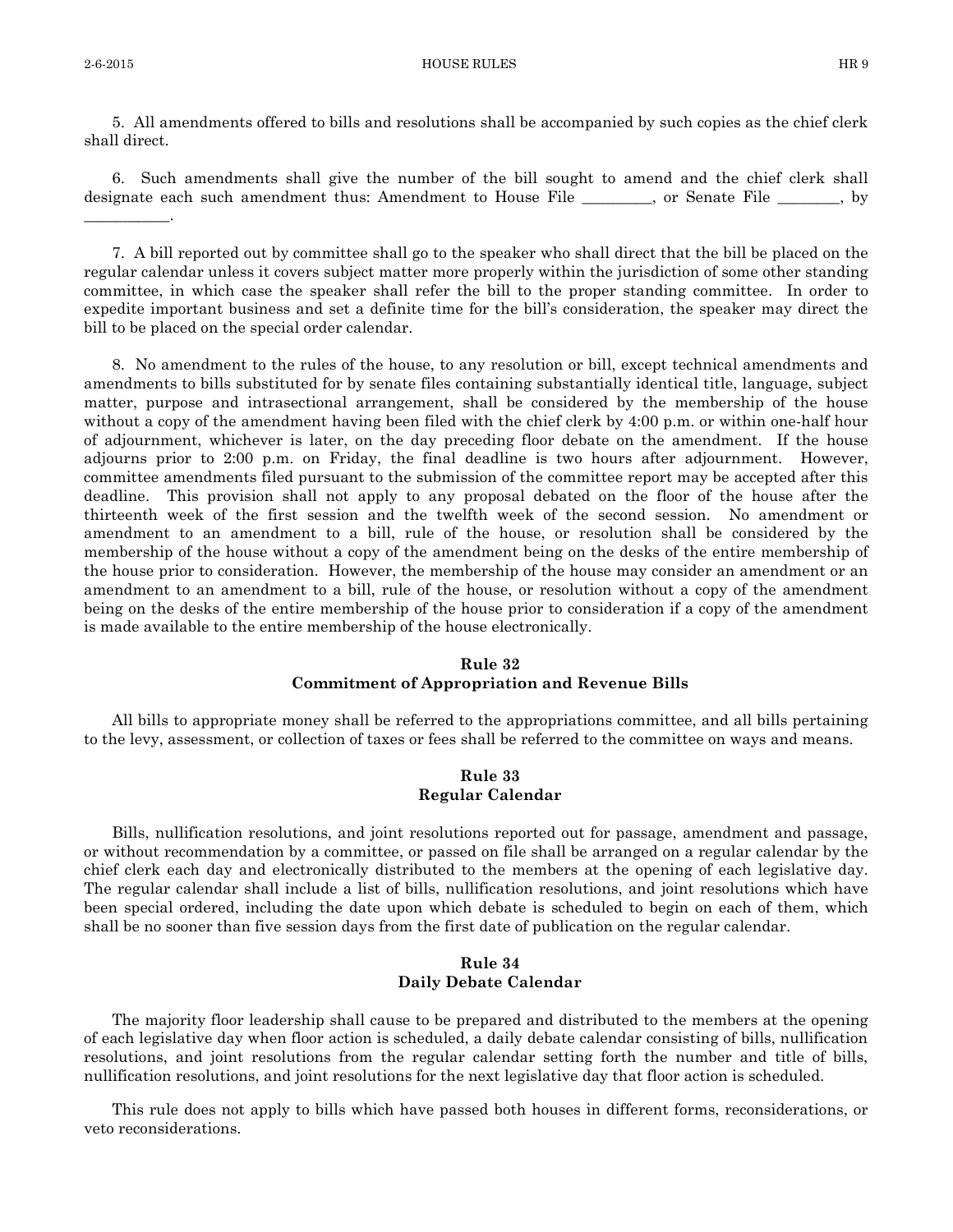\_\_\_\_\_\_\_\_\_\_\_.

5. All amendments offered to bills and resolutions shall be accompanied by such copies as the chief clerk shall direct.

6. Such amendments shall give the number of the bill sought to amend and the chief clerk shall designate each such amendment thus: Amendment to House File \_\_\_\_\_\_, or Senate File \_\_\_\_\_\_, by

7. A bill reported out by committee shall go to the speaker who shall direct that the bill be placed on the regular calendar unless it covers subject matter more properly within the jurisdiction of some other standing committee, in which case the speaker shall refer the bill to the proper standing committee. In order to expedite important business and set a definite time for the bill's consideration, the speaker may direct the bill to be placed on the special order calendar.

8. No amendment to the rules of the house, to any resolution or bill, except technical amendments and amendments to bills substituted for by senate files containing substantially identical title, language, subject matter, purpose and intrasectional arrangement, shall be considered by the membership of the house without a copy of the amendment having been filed with the chief clerk by 4:00 p.m. or within one-half hour of adjournment, whichever is later, on the day preceding floor debate on the amendment. If the house adjourns prior to 2:00 p.m. on Friday, the final deadline is two hours after adjournment. However, committee amendments filed pursuant to the submission of the committee report may be accepted after this deadline. This provision shall not apply to any proposal debated on the floor of the house after the thirteenth week of the first session and the twelfth week of the second session. No amendment or amendment to an amendment to a bill, rule of the house, or resolution shall be considered by the membership of the house without a copy of the amendment being on the desks of the entire membership of the house prior to consideration. However, the membership of the house may consider an amendment or an amendment to an amendment to a bill, rule of the house, or resolution without a copy of the amendment being on the desks of the entire membership of the house prior to consideration if a copy of the amendment is made available to the entire membership of the house electronically.

# **Rule 32 Commitment of Appropriation and Revenue Bills**

All bills to appropriate money shall be referred to the appropriations committee, and all bills pertaining to the levy, assessment, or collection of taxes or fees shall be referred to the committee on ways and means.

#### **Rule 33 Regular Calendar**

Bills, nullification resolutions, and joint resolutions reported out for passage, amendment and passage, or without recommendation by a committee, or passed on file shall be arranged on a regular calendar by the chief clerk each day and electronically distributed to the members at the opening of each legislative day. The regular calendar shall include a list of bills, nullification resolutions, and joint resolutions which have been special ordered, including the date upon which debate is scheduled to begin on each of them, which shall be no sooner than five session days from the first date of publication on the regular calendar.

#### **Rule 34 Daily Debate Calendar**

The majority floor leadership shall cause to be prepared and distributed to the members at the opening of each legislative day when floor action is scheduled, a daily debate calendar consisting of bills, nullification resolutions, and joint resolutions from the regular calendar setting forth the number and title of bills, nullification resolutions, and joint resolutions for the next legislative day that floor action is scheduled.

This rule does not apply to bills which have passed both houses in different forms, reconsiderations, or veto reconsiderations.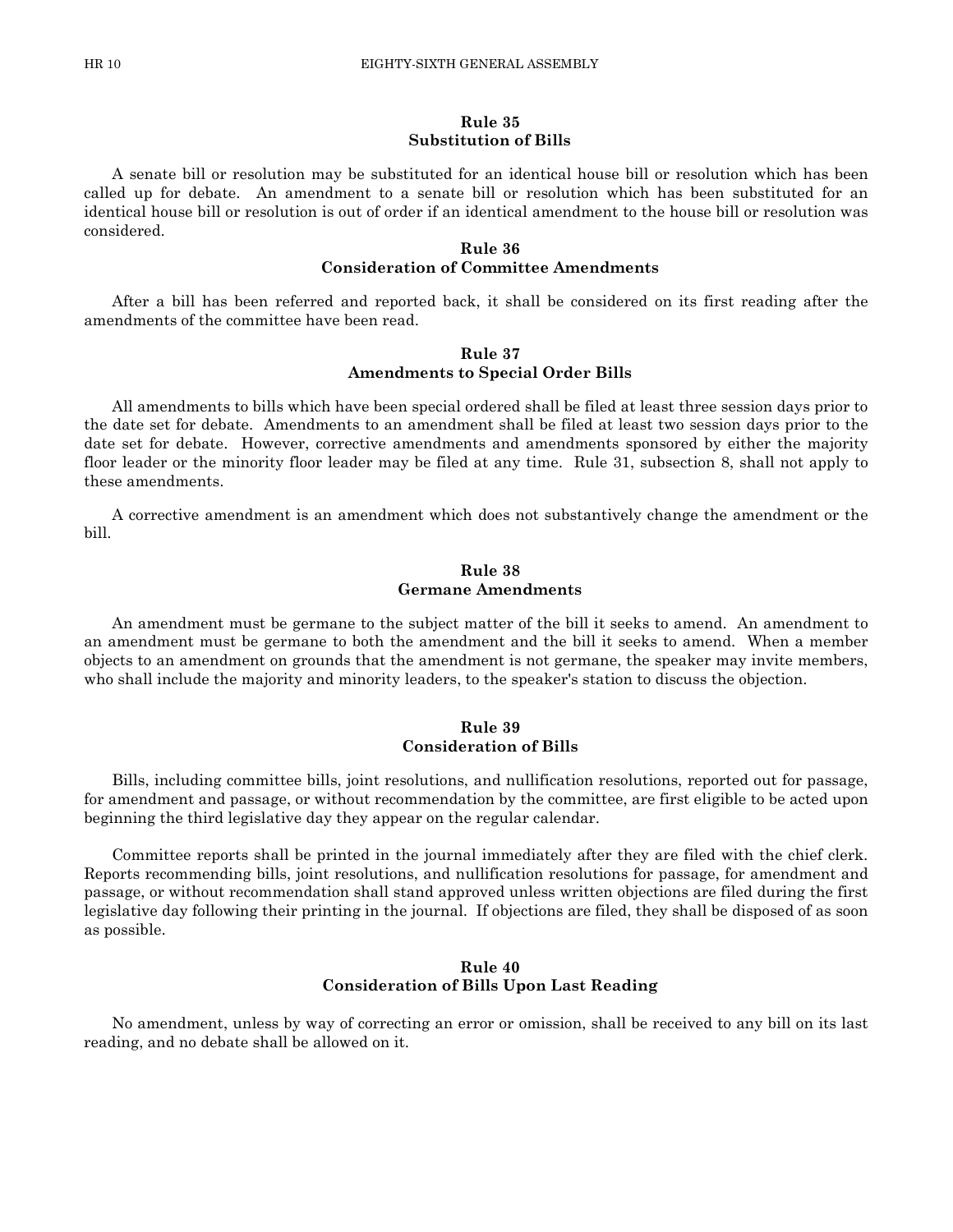#### **Rule 35 Substitution of Bills**

A senate bill or resolution may be substituted for an identical house bill or resolution which has been called up for debate. An amendment to a senate bill or resolution which has been substituted for an identical house bill or resolution is out of order if an identical amendment to the house bill or resolution was considered.

#### **Rule 36 Consideration of Committee Amendments**

After a bill has been referred and reported back, it shall be considered on its first reading after the amendments of the committee have been read.

#### **Rule 37 Amendments to Special Order Bills**

All amendments to bills which have been special ordered shall be filed at least three session days prior to the date set for debate. Amendments to an amendment shall be filed at least two session days prior to the date set for debate. However, corrective amendments and amendments sponsored by either the majority floor leader or the minority floor leader may be filed at any time. Rule 31, subsection 8, shall not apply to these amendments.

A corrective amendment is an amendment which does not substantively change the amendment or the bill.

#### **Rule 38 Germane Amendments**

An amendment must be germane to the subject matter of the bill it seeks to amend. An amendment to an amendment must be germane to both the amendment and the bill it seeks to amend. When a member objects to an amendment on grounds that the amendment is not germane, the speaker may invite members, who shall include the majority and minority leaders, to the speaker's station to discuss the objection.

# **Rule 39 Consideration of Bills**

Bills, including committee bills, joint resolutions, and nullification resolutions, reported out for passage, for amendment and passage, or without recommendation by the committee, are first eligible to be acted upon beginning the third legislative day they appear on the regular calendar.

Committee reports shall be printed in the journal immediately after they are filed with the chief clerk. Reports recommending bills, joint resolutions, and nullification resolutions for passage, for amendment and passage, or without recommendation shall stand approved unless written objections are filed during the first legislative day following their printing in the journal. If objections are filed, they shall be disposed of as soon as possible.

#### **Rule 40 Consideration of Bills Upon Last Reading**

No amendment, unless by way of correcting an error or omission, shall be received to any bill on its last reading, and no debate shall be allowed on it.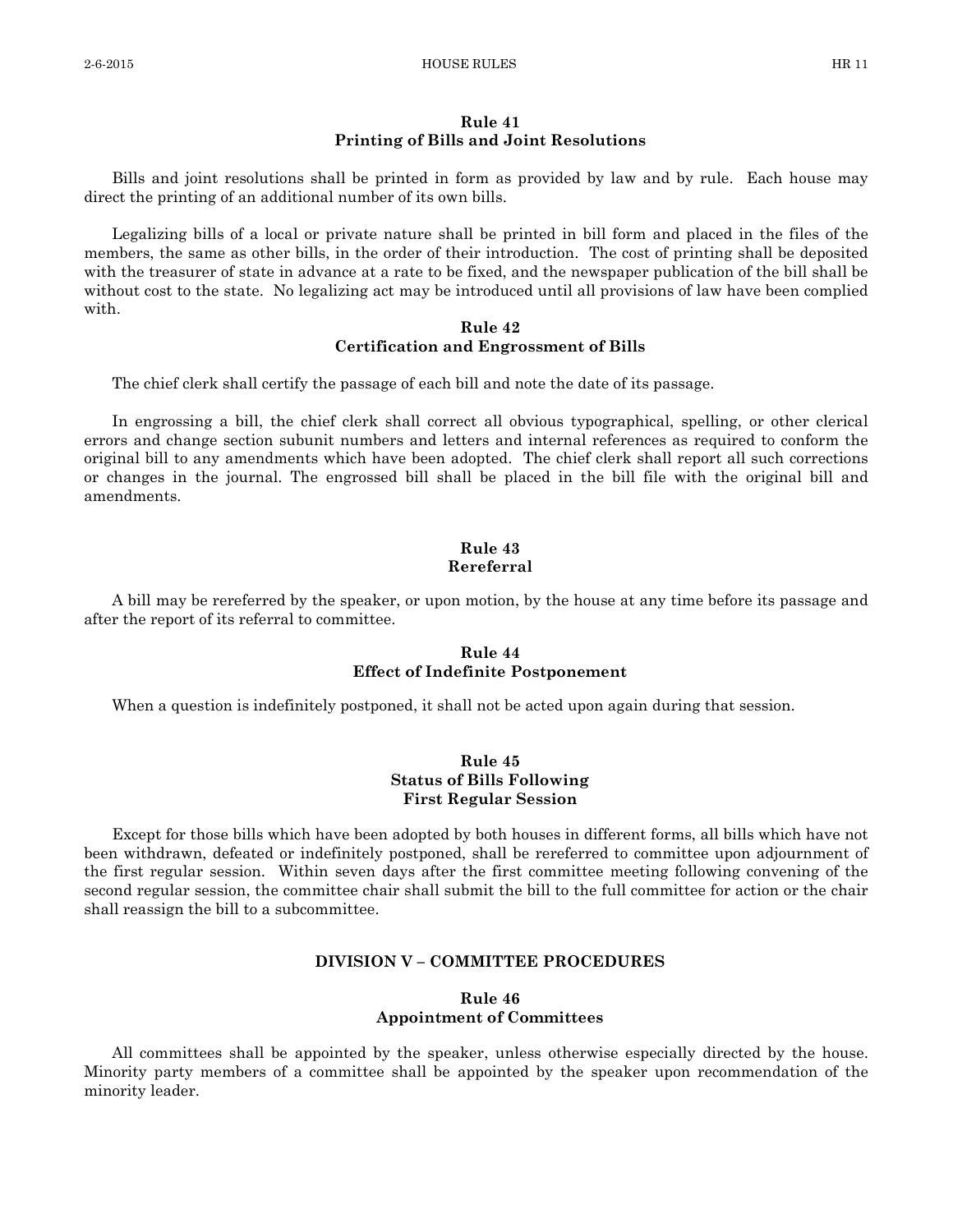#### **Rule 41 Printing of Bills and Joint Resolutions**

Bills and joint resolutions shall be printed in form as provided by law and by rule. Each house may direct the printing of an additional number of its own bills.

Legalizing bills of a local or private nature shall be printed in bill form and placed in the files of the members, the same as other bills, in the order of their introduction. The cost of printing shall be deposited with the treasurer of state in advance at a rate to be fixed, and the newspaper publication of the bill shall be without cost to the state. No legalizing act may be introduced until all provisions of law have been complied with.

# **Rule 42 Certification and Engrossment of Bills**

The chief clerk shall certify the passage of each bill and note the date of its passage.

In engrossing a bill, the chief clerk shall correct all obvious typographical, spelling, or other clerical errors and change section subunit numbers and letters and internal references as required to conform the original bill to any amendments which have been adopted. The chief clerk shall report all such corrections or changes in the journal. The engrossed bill shall be placed in the bill file with the original bill and amendments.

### **Rule 43 Rereferral**

A bill may be rereferred by the speaker, or upon motion, by the house at any time before its passage and after the report of its referral to committee.

# **Rule 44 Effect of Indefinite Postponement**

When a question is indefinitely postponed, it shall not be acted upon again during that session.

# **Rule 45 Status of Bills Following First Regular Session**

Except for those bills which have been adopted by both houses in different forms, all bills which have not been withdrawn, defeated or indefinitely postponed, shall be rereferred to committee upon adjournment of the first regular session. Within seven days after the first committee meeting following convening of the second regular session, the committee chair shall submit the bill to the full committee for action or the chair shall reassign the bill to a subcommittee.

### **DIVISION V – COMMITTEE PROCEDURES**

# **Rule 46 Appointment of Committees**

All committees shall be appointed by the speaker, unless otherwise especially directed by the house. Minority party members of a committee shall be appointed by the speaker upon recommendation of the minority leader.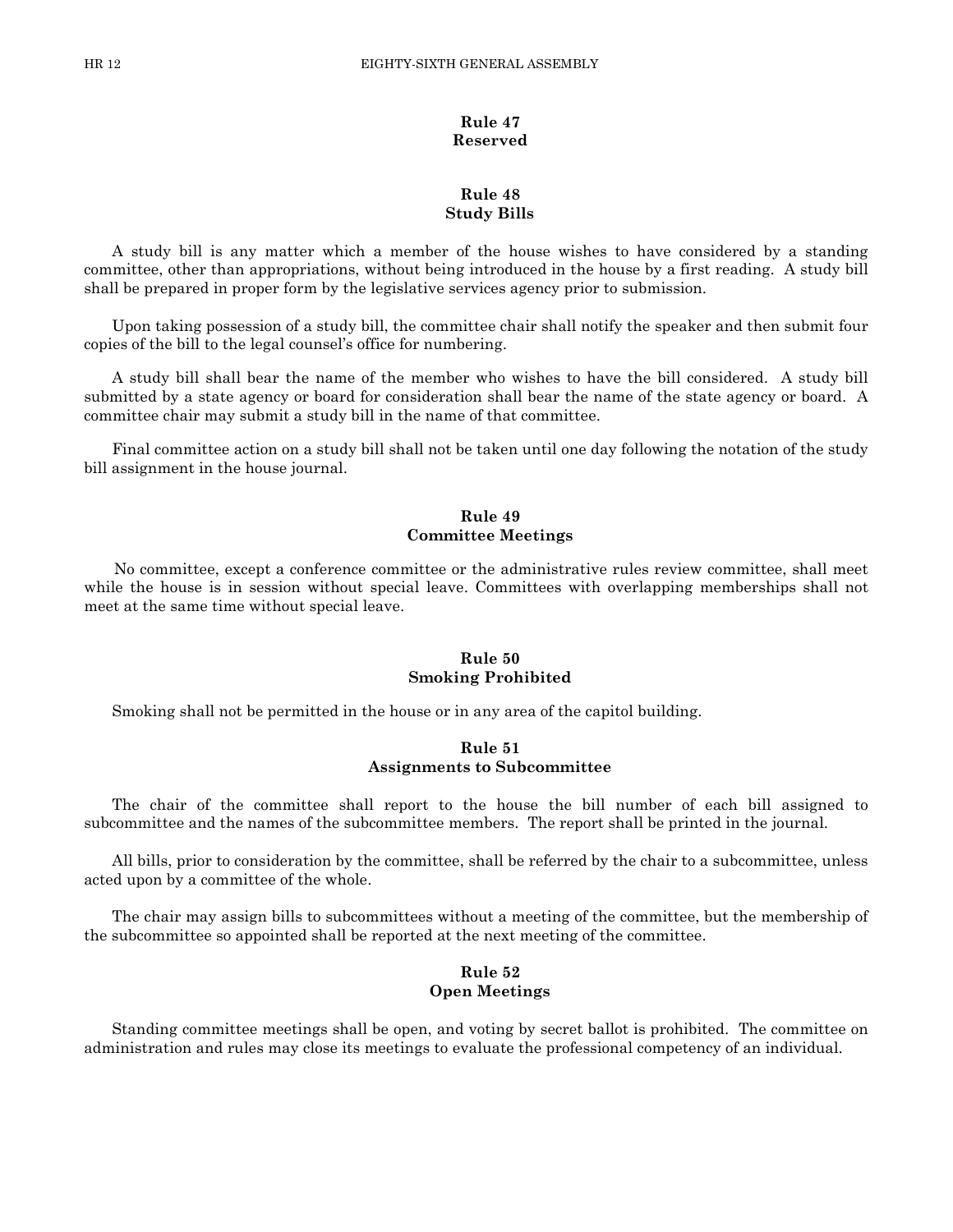# **Rule 47 Reserved**

# **Rule 48 Study Bills**

A study bill is any matter which a member of the house wishes to have considered by a standing committee, other than appropriations, without being introduced in the house by a first reading. A study bill shall be prepared in proper form by the legislative services agency prior to submission.

Upon taking possession of a study bill, the committee chair shall notify the speaker and then submit four copies of the bill to the legal counsel's office for numbering.

A study bill shall bear the name of the member who wishes to have the bill considered. A study bill submitted by a state agency or board for consideration shall bear the name of the state agency or board. A committee chair may submit a study bill in the name of that committee.

Final committee action on a study bill shall not be taken until one day following the notation of the study bill assignment in the house journal.

# **Rule 49 Committee Meetings**

 No committee, except a conference committee or the administrative rules review committee, shall meet while the house is in session without special leave. Committees with overlapping memberships shall not meet at the same time without special leave.

# **Rule 50 Smoking Prohibited**

Smoking shall not be permitted in the house or in any area of the capitol building.

#### **Rule 51 Assignments to Subcommittee**

The chair of the committee shall report to the house the bill number of each bill assigned to subcommittee and the names of the subcommittee members. The report shall be printed in the journal.

All bills, prior to consideration by the committee, shall be referred by the chair to a subcommittee, unless acted upon by a committee of the whole.

The chair may assign bills to subcommittees without a meeting of the committee, but the membership of the subcommittee so appointed shall be reported at the next meeting of the committee.

#### **Rule 52 Open Meetings**

Standing committee meetings shall be open, and voting by secret ballot is prohibited. The committee on administration and rules may close its meetings to evaluate the professional competency of an individual.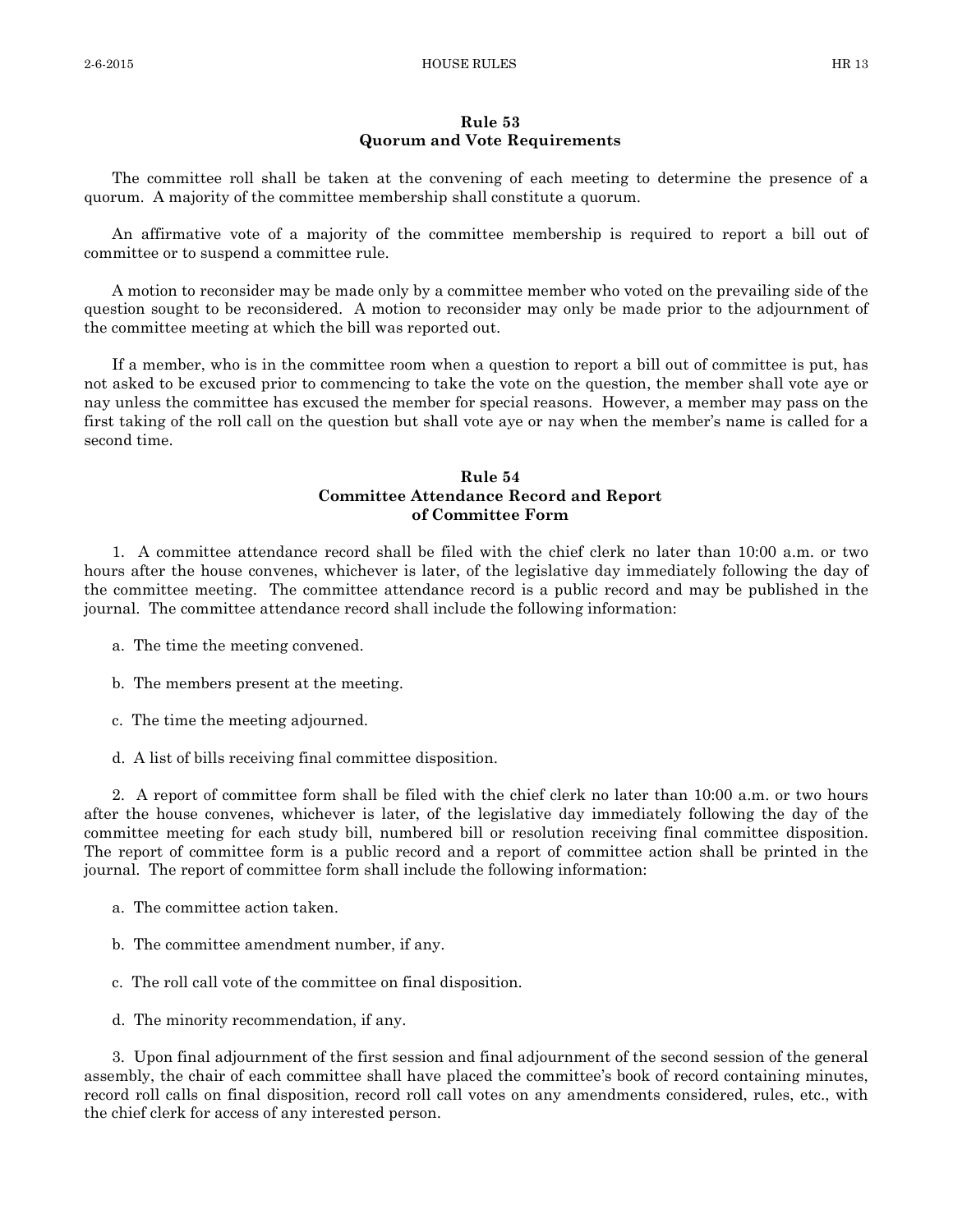#### **Rule 53 Quorum and Vote Requirements**

The committee roll shall be taken at the convening of each meeting to determine the presence of a quorum. A majority of the committee membership shall constitute a quorum.

An affirmative vote of a majority of the committee membership is required to report a bill out of committee or to suspend a committee rule.

A motion to reconsider may be made only by a committee member who voted on the prevailing side of the question sought to be reconsidered. A motion to reconsider may only be made prior to the adjournment of the committee meeting at which the bill was reported out.

If a member, who is in the committee room when a question to report a bill out of committee is put, has not asked to be excused prior to commencing to take the vote on the question, the member shall vote aye or nay unless the committee has excused the member for special reasons. However, a member may pass on the first taking of the roll call on the question but shall vote aye or nay when the member's name is called for a second time.

# **Rule 54 Committee Attendance Record and Report of Committee Form**

1. A committee attendance record shall be filed with the chief clerk no later than 10:00 a.m. or two hours after the house convenes, whichever is later, of the legislative day immediately following the day of the committee meeting. The committee attendance record is a public record and may be published in the journal. The committee attendance record shall include the following information:

- a. The time the meeting convened.
- b. The members present at the meeting.
- c. The time the meeting adjourned.
- d. A list of bills receiving final committee disposition.

2. A report of committee form shall be filed with the chief clerk no later than 10:00 a.m. or two hours after the house convenes, whichever is later, of the legislative day immediately following the day of the committee meeting for each study bill, numbered bill or resolution receiving final committee disposition. The report of committee form is a public record and a report of committee action shall be printed in the journal. The report of committee form shall include the following information:

- a. The committee action taken.
- b. The committee amendment number, if any.
- c. The roll call vote of the committee on final disposition.
- d. The minority recommendation, if any.

3. Upon final adjournment of the first session and final adjournment of the second session of the general assembly, the chair of each committee shall have placed the committee's book of record containing minutes, record roll calls on final disposition, record roll call votes on any amendments considered, rules, etc., with the chief clerk for access of any interested person.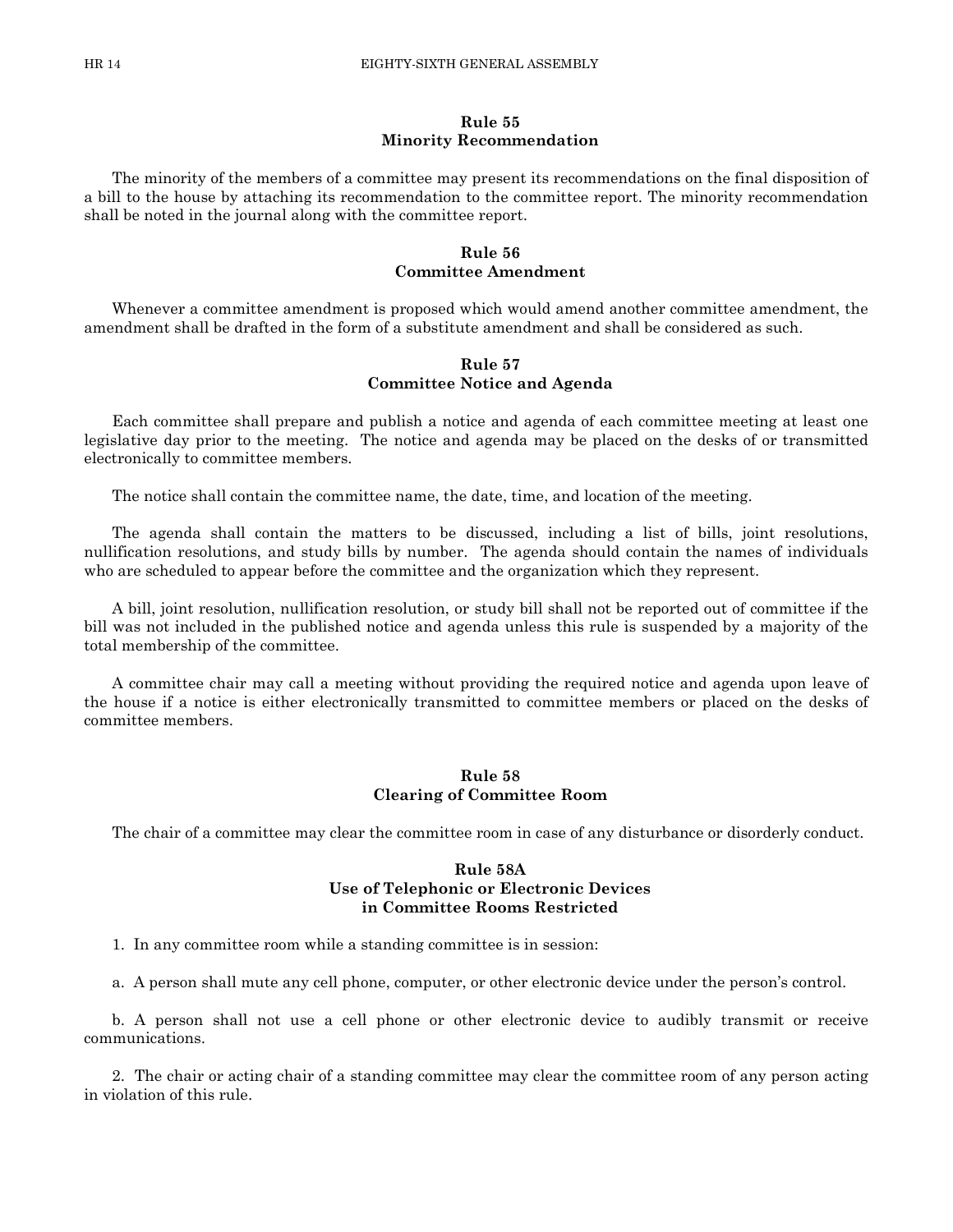#### **Rule 55 Minority Recommendation**

The minority of the members of a committee may present its recommendations on the final disposition of a bill to the house by attaching its recommendation to the committee report. The minority recommendation shall be noted in the journal along with the committee report.

#### **Rule 56 Committee Amendment**

Whenever a committee amendment is proposed which would amend another committee amendment, the amendment shall be drafted in the form of a substitute amendment and shall be considered as such.

# **Rule 57 Committee Notice and Agenda**

Each committee shall prepare and publish a notice and agenda of each committee meeting at least one legislative day prior to the meeting. The notice and agenda may be placed on the desks of or transmitted electronically to committee members.

The notice shall contain the committee name, the date, time, and location of the meeting.

The agenda shall contain the matters to be discussed, including a list of bills, joint resolutions, nullification resolutions, and study bills by number. The agenda should contain the names of individuals who are scheduled to appear before the committee and the organization which they represent.

A bill, joint resolution, nullification resolution, or study bill shall not be reported out of committee if the bill was not included in the published notice and agenda unless this rule is suspended by a majority of the total membership of the committee.

A committee chair may call a meeting without providing the required notice and agenda upon leave of the house if a notice is either electronically transmitted to committee members or placed on the desks of committee members.

#### **Rule 58 Clearing of Committee Room**

The chair of a committee may clear the committee room in case of any disturbance or disorderly conduct.

#### **Rule 58A Use of Telephonic or Electronic Devices in Committee Rooms Restricted**

1. In any committee room while a standing committee is in session:

a. A person shall mute any cell phone, computer, or other electronic device under the person's control.

b. A person shall not use a cell phone or other electronic device to audibly transmit or receive communications.

2. The chair or acting chair of a standing committee may clear the committee room of any person acting in violation of this rule.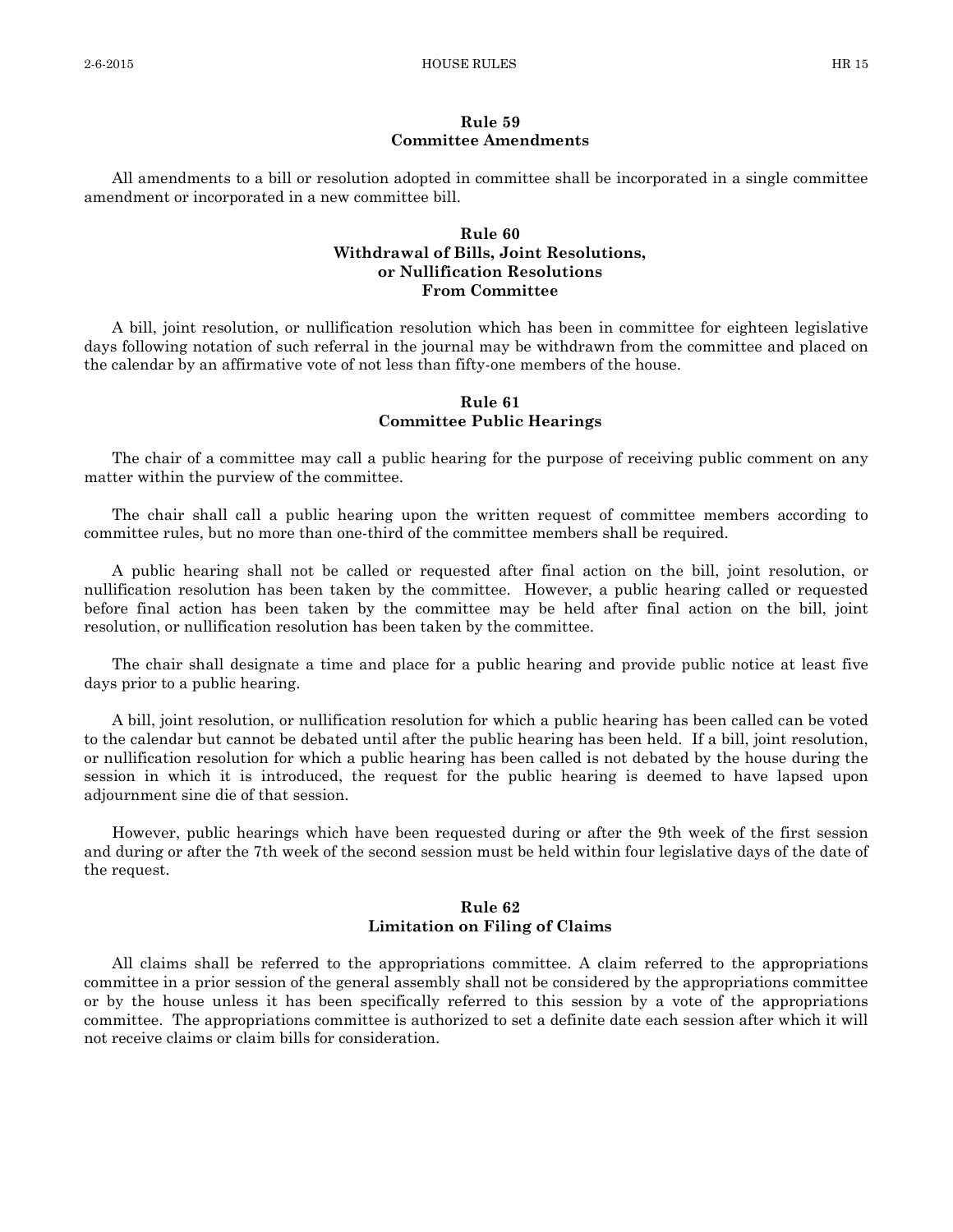#### **Rule 59 Committee Amendments**

All amendments to a bill or resolution adopted in committee shall be incorporated in a single committee amendment or incorporated in a new committee bill.

# **Rule 60 Withdrawal of Bills, Joint Resolutions, or Nullification Resolutions From Committee**

A bill, joint resolution, or nullification resolution which has been in committee for eighteen legislative days following notation of such referral in the journal may be withdrawn from the committee and placed on the calendar by an affirmative vote of not less than fifty-one members of the house.

# **Rule 61 Committee Public Hearings**

The chair of a committee may call a public hearing for the purpose of receiving public comment on any matter within the purview of the committee.

The chair shall call a public hearing upon the written request of committee members according to committee rules, but no more than one-third of the committee members shall be required.

A public hearing shall not be called or requested after final action on the bill, joint resolution, or nullification resolution has been taken by the committee. However, a public hearing called or requested before final action has been taken by the committee may be held after final action on the bill, joint resolution, or nullification resolution has been taken by the committee.

The chair shall designate a time and place for a public hearing and provide public notice at least five days prior to a public hearing.

A bill, joint resolution, or nullification resolution for which a public hearing has been called can be voted to the calendar but cannot be debated until after the public hearing has been held. If a bill, joint resolution, or nullification resolution for which a public hearing has been called is not debated by the house during the session in which it is introduced, the request for the public hearing is deemed to have lapsed upon adjournment sine die of that session.

However, public hearings which have been requested during or after the 9th week of the first session and during or after the 7th week of the second session must be held within four legislative days of the date of the request.

# **Rule 62 Limitation on Filing of Claims**

All claims shall be referred to the appropriations committee. A claim referred to the appropriations committee in a prior session of the general assembly shall not be considered by the appropriations committee or by the house unless it has been specifically referred to this session by a vote of the appropriations committee. The appropriations committee is authorized to set a definite date each session after which it will not receive claims or claim bills for consideration.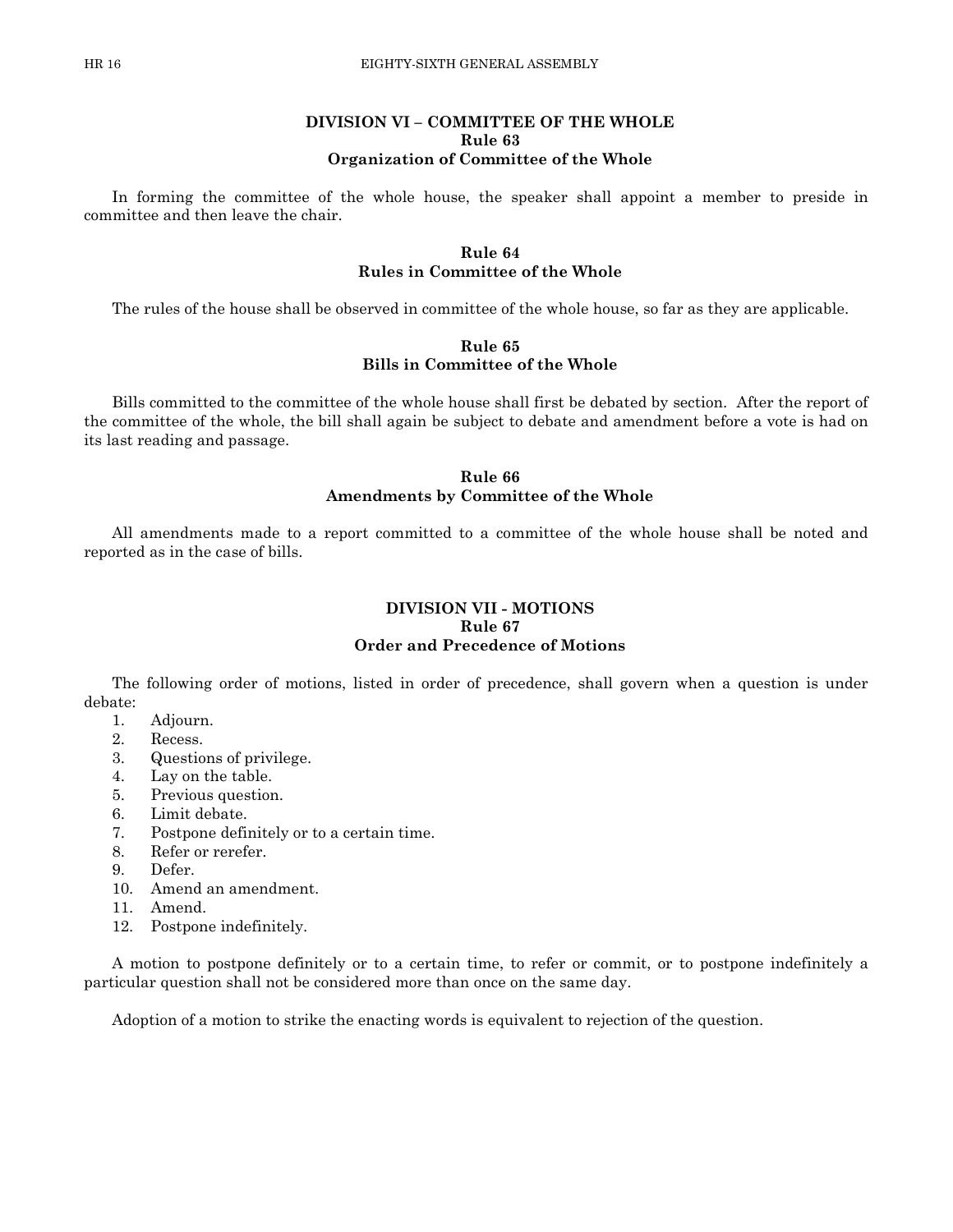# **DIVISION VI – COMMITTEE OF THE WHOLE Rule 63 Organization of Committee of the Whole**

In forming the committee of the whole house, the speaker shall appoint a member to preside in committee and then leave the chair.

# **Rule 64 Rules in Committee of the Whole**

The rules of the house shall be observed in committee of the whole house, so far as they are applicable.

### **Rule 65 Bills in Committee of the Whole**

Bills committed to the committee of the whole house shall first be debated by section. After the report of the committee of the whole, the bill shall again be subject to debate and amendment before a vote is had on its last reading and passage.

# **Rule 66 Amendments by Committee of the Whole**

All amendments made to a report committed to a committee of the whole house shall be noted and reported as in the case of bills.

#### **DIVISION VII - MOTIONS Rule 67 Order and Precedence of Motions**

The following order of motions, listed in order of precedence, shall govern when a question is under debate:

- 1. Adjourn.
- 2. Recess.
- 3. Questions of privilege.
- 4. Lay on the table.
- 5. Previous question.
- 6. Limit debate.
- 7. Postpone definitely or to a certain time.
- 8. Refer or rerefer.
- 9. Defer.
- 10. Amend an amendment.
- 11. Amend.
- 12. Postpone indefinitely.

A motion to postpone definitely or to a certain time, to refer or commit, or to postpone indefinitely a particular question shall not be considered more than once on the same day.

Adoption of a motion to strike the enacting words is equivalent to rejection of the question.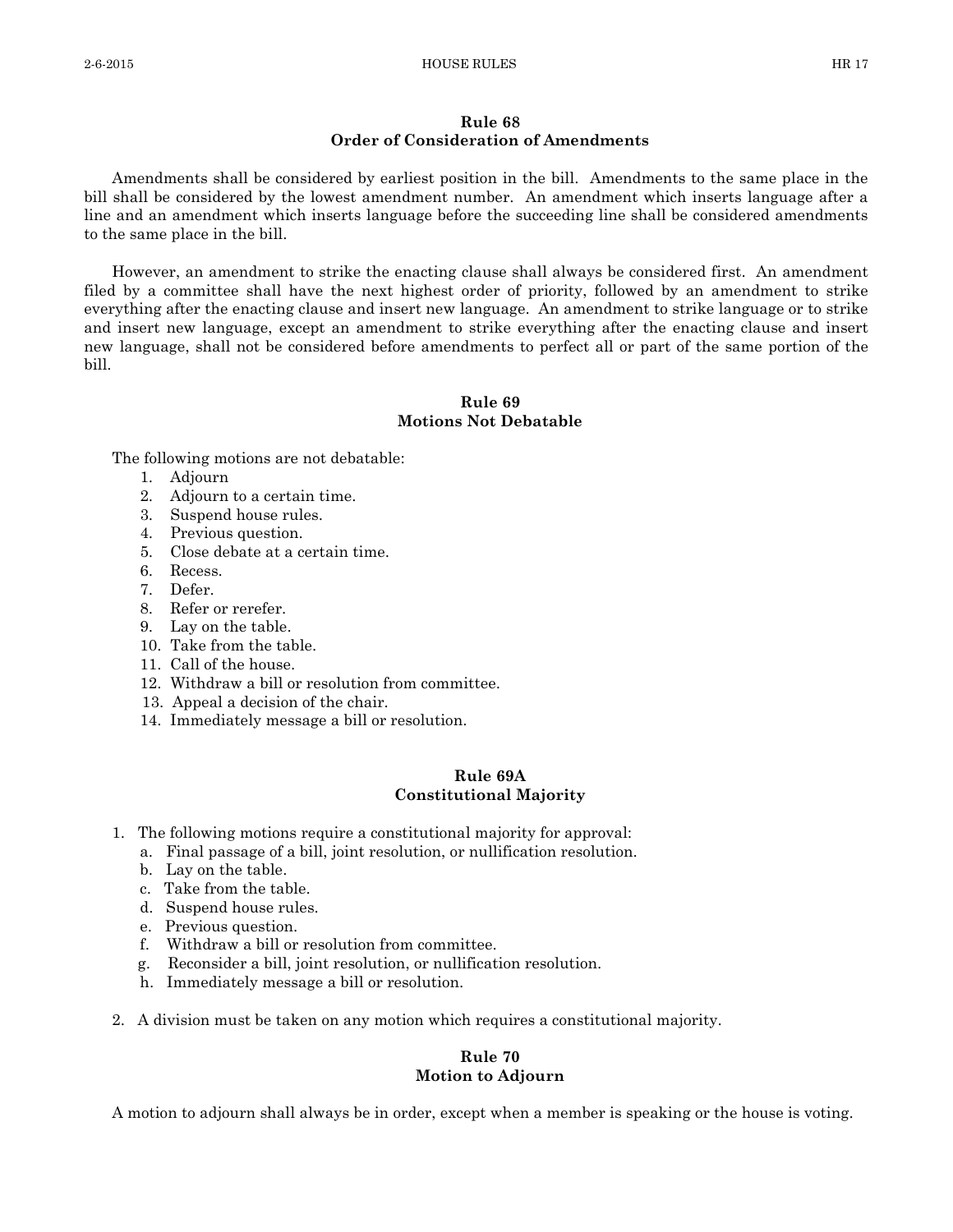#### **Rule 68 Order of Consideration of Amendments**

Amendments shall be considered by earliest position in the bill. Amendments to the same place in the bill shall be considered by the lowest amendment number. An amendment which inserts language after a line and an amendment which inserts language before the succeeding line shall be considered amendments to the same place in the bill.

However, an amendment to strike the enacting clause shall always be considered first. An amendment filed by a committee shall have the next highest order of priority, followed by an amendment to strike everything after the enacting clause and insert new language. An amendment to strike language or to strike and insert new language, except an amendment to strike everything after the enacting clause and insert new language, shall not be considered before amendments to perfect all or part of the same portion of the bill.

# **Rule 69 Motions Not Debatable**

The following motions are not debatable:

- 1. Adjourn
- 2. Adjourn to a certain time.
- 3. Suspend house rules.
- 4. Previous question.
- 5. Close debate at a certain time.
- 6. Recess.
- 7. Defer.
- 8. Refer or rerefer.
- 9. Lay on the table.
- 10. Take from the table.
- 11. Call of the house.
- 12. Withdraw a bill or resolution from committee.
- 13. Appeal a decision of the chair.
- 14. Immediately message a bill or resolution.

#### **Rule 69A Constitutional Majority**

- 1. The following motions require a constitutional majority for approval:
	- a. Final passage of a bill, joint resolution, or nullification resolution.
	- b. Lay on the table.
	- c. Take from the table.
	- d. Suspend house rules.
	- e. Previous question.
	- f. Withdraw a bill or resolution from committee.
	- g. Reconsider a bill, joint resolution, or nullification resolution.
	- h. Immediately message a bill or resolution.
- 2. A division must be taken on any motion which requires a constitutional majority.

# **Rule 70 Motion to Adjourn**

A motion to adjourn shall always be in order, except when a member is speaking or the house is voting.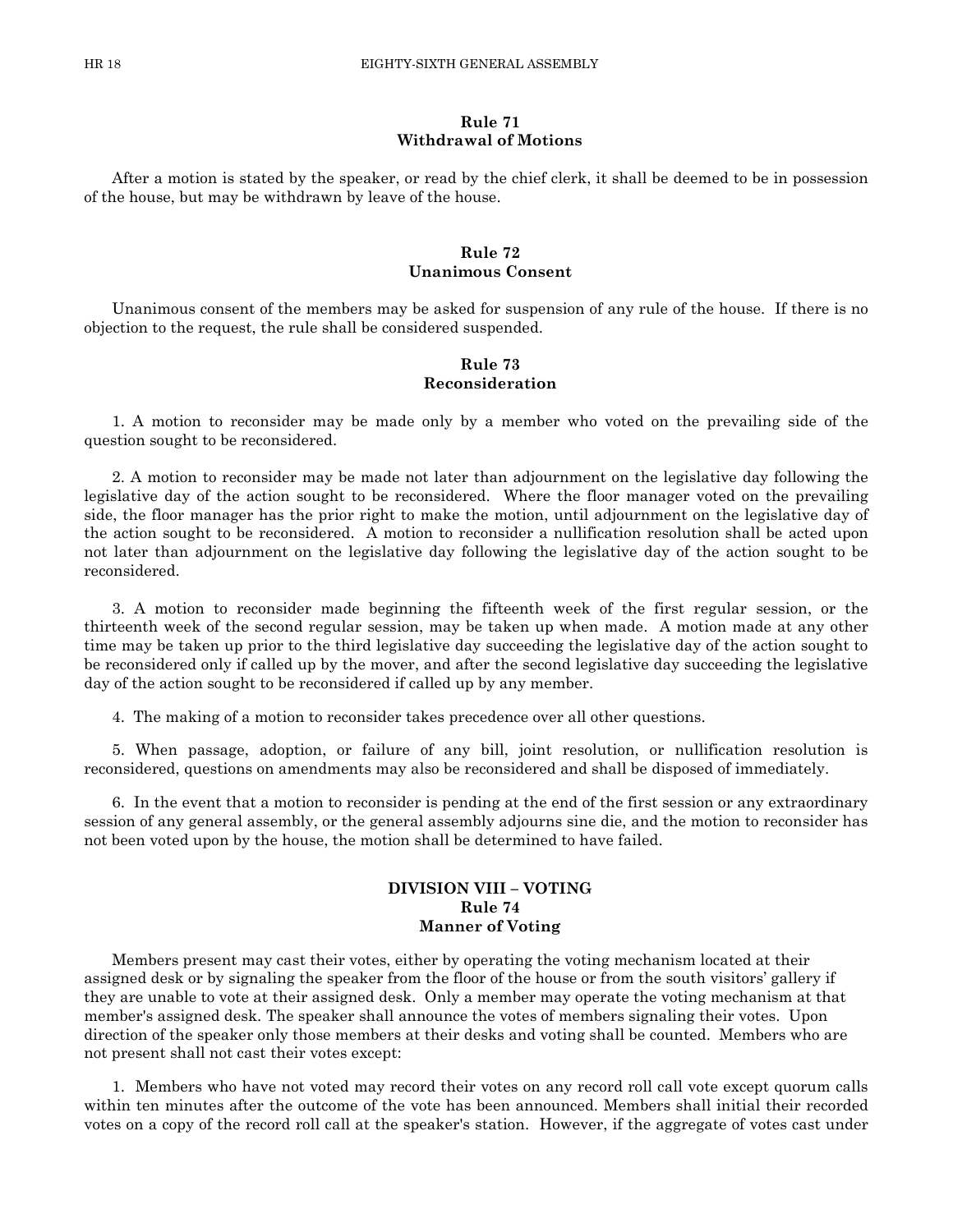# **Rule 71 Withdrawal of Motions**

After a motion is stated by the speaker, or read by the chief clerk, it shall be deemed to be in possession of the house, but may be withdrawn by leave of the house.

#### **Rule 72 Unanimous Consent**

Unanimous consent of the members may be asked for suspension of any rule of the house. If there is no objection to the request, the rule shall be considered suspended.

# **Rule 73 Reconsideration**

1. A motion to reconsider may be made only by a member who voted on the prevailing side of the question sought to be reconsidered.

2. A motion to reconsider may be made not later than adjournment on the legislative day following the legislative day of the action sought to be reconsidered. Where the floor manager voted on the prevailing side, the floor manager has the prior right to make the motion, until adjournment on the legislative day of the action sought to be reconsidered. A motion to reconsider a nullification resolution shall be acted upon not later than adjournment on the legislative day following the legislative day of the action sought to be reconsidered.

3. A motion to reconsider made beginning the fifteenth week of the first regular session, or the thirteenth week of the second regular session, may be taken up when made. A motion made at any other time may be taken up prior to the third legislative day succeeding the legislative day of the action sought to be reconsidered only if called up by the mover, and after the second legislative day succeeding the legislative day of the action sought to be reconsidered if called up by any member.

4. The making of a motion to reconsider takes precedence over all other questions.

5. When passage, adoption, or failure of any bill, joint resolution, or nullification resolution is reconsidered, questions on amendments may also be reconsidered and shall be disposed of immediately.

6. In the event that a motion to reconsider is pending at the end of the first session or any extraordinary session of any general assembly, or the general assembly adjourns sine die, and the motion to reconsider has not been voted upon by the house, the motion shall be determined to have failed.

# **DIVISION VIII – VOTING Rule 74 Manner of Voting**

Members present may cast their votes, either by operating the voting mechanism located at their assigned desk or by signaling the speaker from the floor of the house or from the south visitors' gallery if they are unable to vote at their assigned desk. Only a member may operate the voting mechanism at that member's assigned desk. The speaker shall announce the votes of members signaling their votes. Upon direction of the speaker only those members at their desks and voting shall be counted. Members who are not present shall not cast their votes except:

1. Members who have not voted may record their votes on any record roll call vote except quorum calls within ten minutes after the outcome of the vote has been announced. Members shall initial their recorded votes on a copy of the record roll call at the speaker's station. However, if the aggregate of votes cast under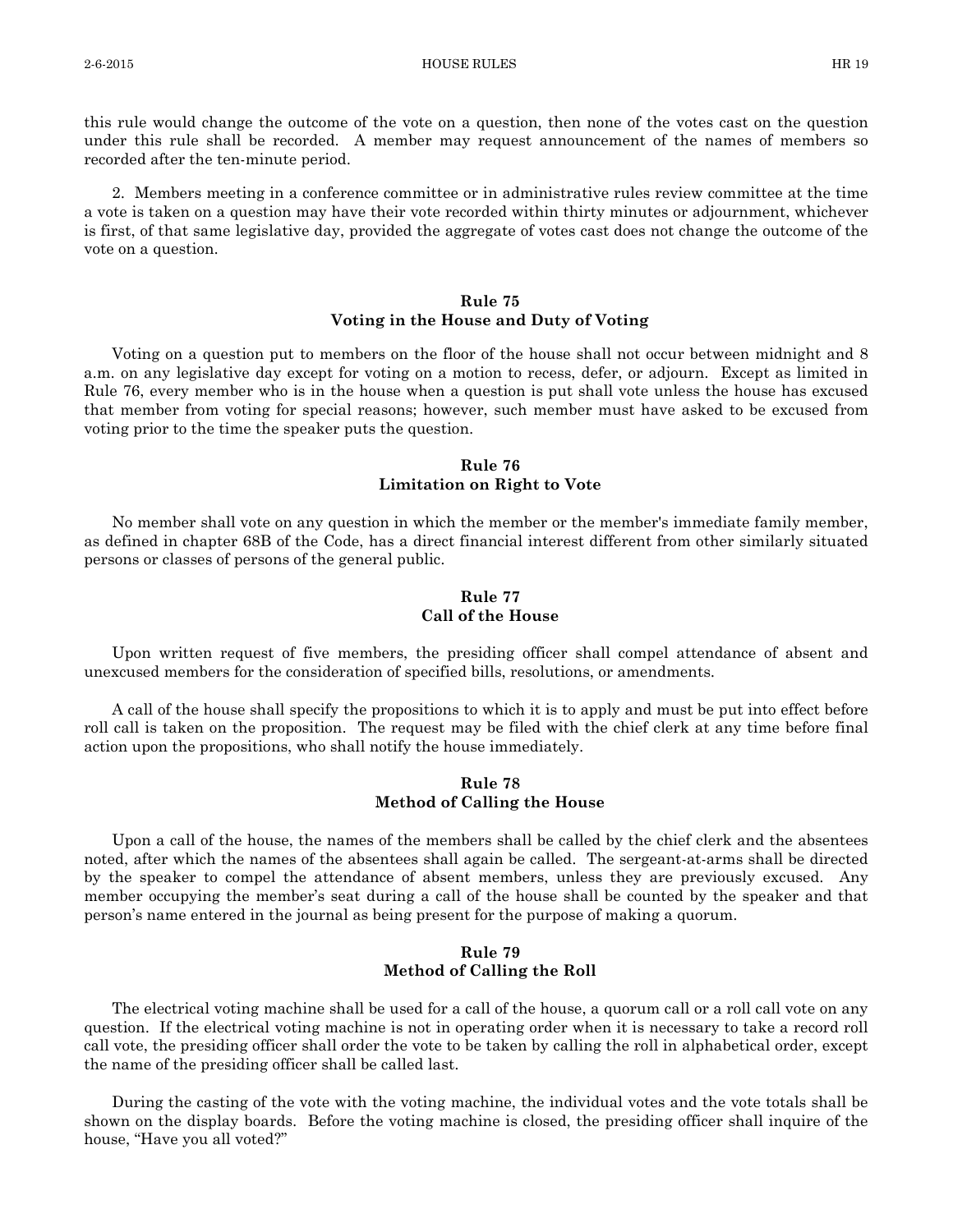this rule would change the outcome of the vote on a question, then none of the votes cast on the question under this rule shall be recorded. A member may request announcement of the names of members so recorded after the ten-minute period.

2. Members meeting in a conference committee or in administrative rules review committee at the time a vote is taken on a question may have their vote recorded within thirty minutes or adjournment, whichever is first, of that same legislative day, provided the aggregate of votes cast does not change the outcome of the vote on a question.

# **Rule 75 Voting in the House and Duty of Voting**

Voting on a question put to members on the floor of the house shall not occur between midnight and 8 a.m. on any legislative day except for voting on a motion to recess, defer, or adjourn. Except as limited in Rule 76, every member who is in the house when a question is put shall vote unless the house has excused that member from voting for special reasons; however, such member must have asked to be excused from voting prior to the time the speaker puts the question.

#### **Rule 76 Limitation on Right to Vote**

No member shall vote on any question in which the member or the member's immediate family member, as defined in chapter 68B of the Code, has a direct financial interest different from other similarly situated persons or classes of persons of the general public.

# **Rule 77 Call of the House**

Upon written request of five members, the presiding officer shall compel attendance of absent and unexcused members for the consideration of specified bills, resolutions, or amendments.

A call of the house shall specify the propositions to which it is to apply and must be put into effect before roll call is taken on the proposition. The request may be filed with the chief clerk at any time before final action upon the propositions, who shall notify the house immediately.

#### **Rule 78 Method of Calling the House**

Upon a call of the house, the names of the members shall be called by the chief clerk and the absentees noted, after which the names of the absentees shall again be called. The sergeant-at-arms shall be directed by the speaker to compel the attendance of absent members, unless they are previously excused. Any member occupying the member's seat during a call of the house shall be counted by the speaker and that person's name entered in the journal as being present for the purpose of making a quorum.

# **Rule 79 Method of Calling the Roll**

The electrical voting machine shall be used for a call of the house, a quorum call or a roll call vote on any question. If the electrical voting machine is not in operating order when it is necessary to take a record roll call vote, the presiding officer shall order the vote to be taken by calling the roll in alphabetical order, except the name of the presiding officer shall be called last.

During the casting of the vote with the voting machine, the individual votes and the vote totals shall be shown on the display boards. Before the voting machine is closed, the presiding officer shall inquire of the house, "Have you all voted?"